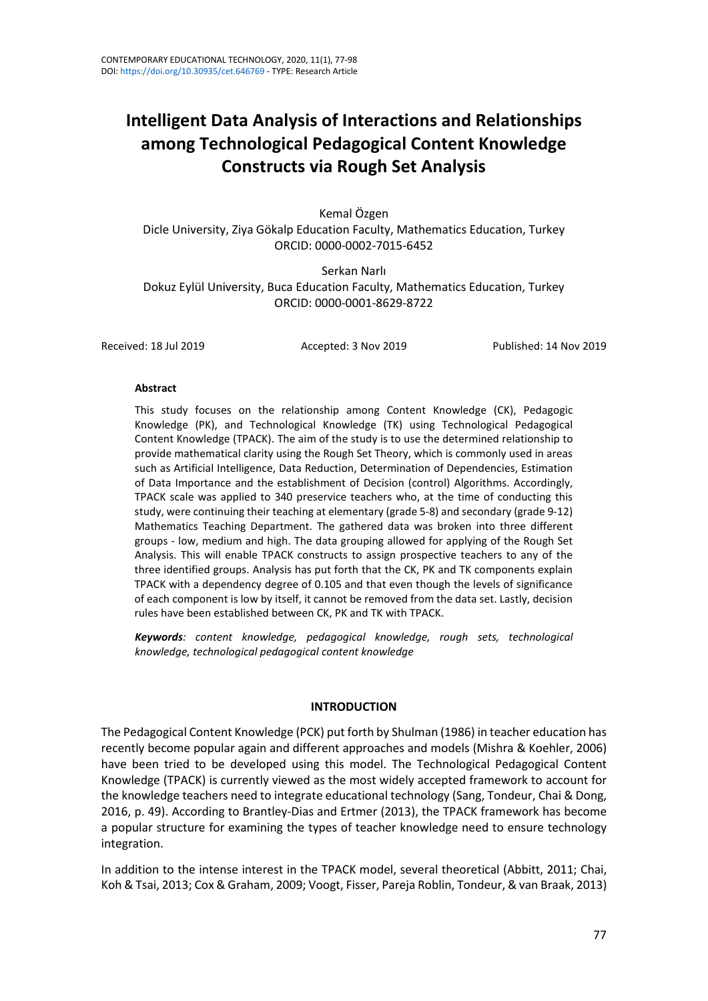# **Intelligent Data Analysis of Interactions and Relationships among Technological Pedagogical Content Knowledge Constructs via Rough Set Analysis**

Kemal Özgen Dicle University, Ziya Gökalp Education Faculty, Mathematics Education, Turkey ORCID: 0000-0002-7015-6452

Serkan Narlı Dokuz Eylül University, Buca Education Faculty, Mathematics Education, Turkey ORCID: 0000-0001-8629-8722

Received: 18 Jul 2019 Accepted: 3 Nov 2019 Published: 14 Nov 2019

#### **Abstract**

This study focuses on the relationship among Content Knowledge (CK), Pedagogic Knowledge (PK), and Technological Knowledge (TK) using Technological Pedagogical Content Knowledge (TPACK). The aim of the study is to use the determined relationship to provide mathematical clarity using the Rough Set Theory, which is commonly used in areas such as Artificial Intelligence, Data Reduction, Determination of Dependencies, Estimation of Data Importance and the establishment of Decision (control) Algorithms. Accordingly, TPACK scale was applied to 340 preservice teachers who, at the time of conducting this study, were continuing their teaching at elementary (grade 5-8) and secondary (grade 9-12) Mathematics Teaching Department. The gathered data was broken into three different groups - low, medium and high. The data grouping allowed for applying of the Rough Set Analysis. This will enable TPACK constructs to assign prospective teachers to any of the three identified groups. Analysis has put forth that the CK, PK and TK components explain TPACK with a dependency degree of 0.105 and that even though the levels of significance of each component is low by itself, it cannot be removed from the data set. Lastly, decision rules have been established between CK, PK and TK with TPACK.

*Keywords: content knowledge, pedagogical knowledge, rough sets, technological knowledge, technological pedagogical content knowledge*

#### **INTRODUCTION**

The Pedagogical Content Knowledge (PCK) put forth by Shulman (1986) in teacher education has recently become popular again and different approaches and models (Mishra & Koehler, 2006) have been tried to be developed using this model. The Technological Pedagogical Content Knowledge (TPACK) is currently viewed as the most widely accepted framework to account for the knowledge teachers need to integrate educational technology (Sang, Tondeur, Chai & Dong, 2016, p. 49). According to Brantley-Dias and Ertmer (2013), the TPACK framework has become a popular structure for examining the types of teacher knowledge need to ensure technology integration.

In addition to the intense interest in the TPACK model, several theoretical (Abbitt, 2011; Chai, Koh & Tsai, 2013; Cox & Graham, 2009; Voogt, Fisser, Pareja Roblin, Tondeur, & van Braak, 2013)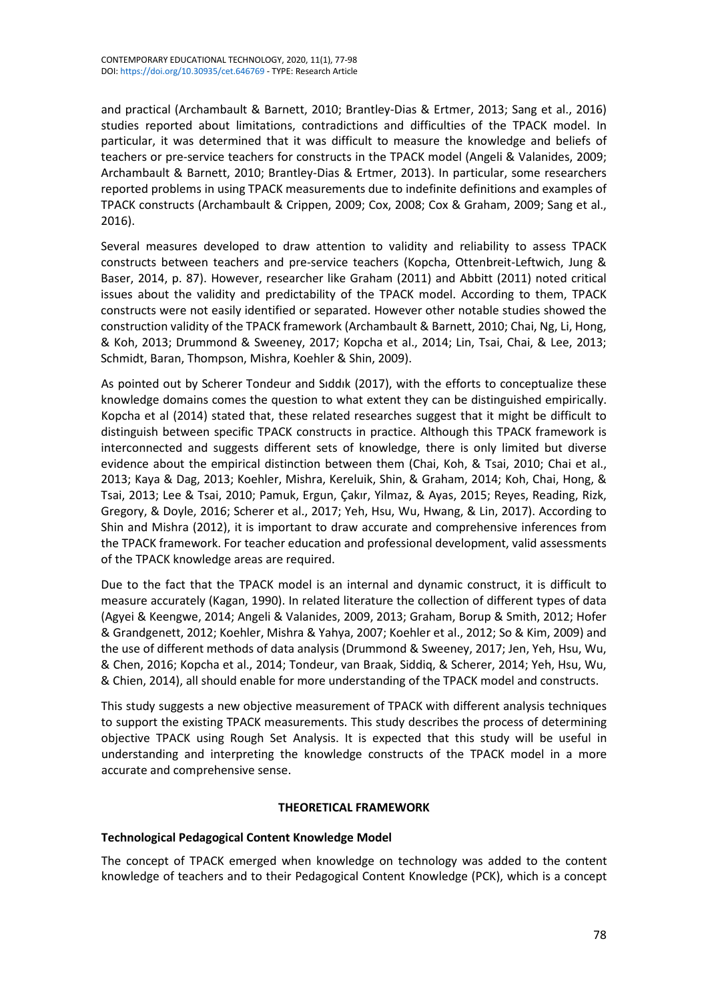and practical (Archambault & Barnett, 2010; Brantley-Dias & Ertmer, 2013; Sang et al., 2016) studies reported about limitations, contradictions and difficulties of the TPACK model. In particular, it was determined that it was difficult to measure the knowledge and beliefs of teachers or pre-service teachers for constructs in the TPACK model (Angeli & Valanides, 2009; Archambault & Barnett, 2010; Brantley-Dias & Ertmer, 2013). In particular, some researchers reported problems in using TPACK measurements due to indefinite definitions and examples of TPACK constructs (Archambault & Crippen, 2009; Cox, 2008; Cox & Graham, 2009; Sang et al., 2016).

Several measures developed to draw attention to validity and reliability to assess TPACK constructs between teachers and pre-service teachers (Kopcha, Ottenbreit-Leftwich, Jung & Baser, 2014, p. 87). However, researcher like Graham (2011) and Abbitt (2011) noted critical issues about the validity and predictability of the TPACK model. According to them, TPACK constructs were not easily identified or separated. However other notable studies showed the construction validity of the TPACK framework (Archambault & Barnett, 2010; Chai, Ng, Li, Hong, & Koh, 2013; Drummond & Sweeney, 2017; Kopcha et al., 2014; Lin, Tsai, Chai, & Lee, 2013; Schmidt, Baran, Thompson, Mishra, Koehler & Shin, 2009).

As pointed out by Scherer Tondeur and Sıddık (2017), with the efforts to conceptualize these knowledge domains comes the question to what extent they can be distinguished empirically. Kopcha et al (2014) stated that, these related researches suggest that it might be difficult to distinguish between specific TPACK constructs in practice. Although this TPACK framework is interconnected and suggests different sets of knowledge, there is only limited but diverse evidence about the empirical distinction between them (Chai, Koh, & Tsai, 2010; Chai et al., 2013; Kaya & Dag, 2013; Koehler, Mishra, Kereluik, Shin, & Graham, 2014; Koh, Chai, Hong, & Tsai, 2013; Lee & Tsai, 2010; Pamuk, Ergun, Çakır, Yilmaz, & Ayas, 2015; Reyes, Reading, Rizk, Gregory, & Doyle, 2016; Scherer et al., 2017; Yeh, Hsu, Wu, Hwang, & Lin, 2017). According to Shin and Mishra (2012), it is important to draw accurate and comprehensive inferences from the TPACK framework. For teacher education and professional development, valid assessments of the TPACK knowledge areas are required.

Due to the fact that the TPACK model is an internal and dynamic construct, it is difficult to measure accurately (Kagan, 1990). In related literature the collection of different types of data (Agyei & Keengwe, 2014; Angeli & Valanides, 2009, 2013; Graham, Borup & Smith, 2012; Hofer & Grandgenett, 2012; Koehler, Mishra & Yahya, 2007; Koehler et al., 2012; So & Kim, 2009) and the use of different methods of data analysis (Drummond & Sweeney, 2017; Jen, Yeh, Hsu, Wu, & Chen, 2016; Kopcha et al., 2014; Tondeur, van Braak, Siddiq, & Scherer, 2014; Yeh, Hsu, Wu, & Chien, 2014), all should enable for more understanding of the TPACK model and constructs.

This study suggests a new objective measurement of TPACK with different analysis techniques to support the existing TPACK measurements. This study describes the process of determining objective TPACK using Rough Set Analysis. It is expected that this study will be useful in understanding and interpreting the knowledge constructs of the TPACK model in a more accurate and comprehensive sense.

# **THEORETICAL FRAMEWORK**

# **Technological Pedagogical Content Knowledge Model**

The concept of TPACK emerged when knowledge on technology was added to the content knowledge of teachers and to their Pedagogical Content Knowledge (PCK), which is a concept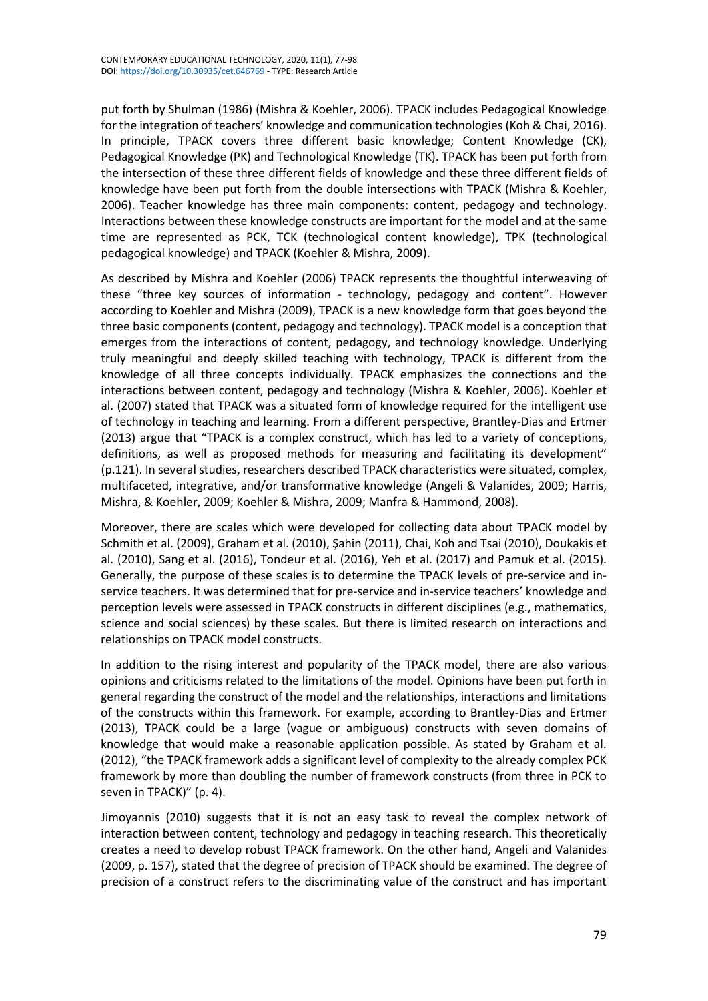put forth by Shulman (1986) (Mishra & Koehler, 2006). TPACK includes Pedagogical Knowledge for the integration of teachers' knowledge and communication technologies (Koh & Chai, 2016). In principle, TPACK covers three different basic knowledge; Content Knowledge (CK), Pedagogical Knowledge (PK) and Technological Knowledge (TK). TPACK has been put forth from the intersection of these three different fields of knowledge and these three different fields of knowledge have been put forth from the double intersections with TPACK (Mishra & Koehler, 2006). Teacher knowledge has three main components: content, pedagogy and technology. Interactions between these knowledge constructs are important for the model and at the same time are represented as PCK, TCK (technological content knowledge), TPK (technological pedagogical knowledge) and TPACK (Koehler & Mishra, 2009).

As described by Mishra and Koehler (2006) TPACK represents the thoughtful interweaving of these "three key sources of information - technology, pedagogy and content". However according to Koehler and Mishra (2009), TPACK is a new knowledge form that goes beyond the three basic components (content, pedagogy and technology). TPACK model is a conception that emerges from the interactions of content, pedagogy, and technology knowledge. Underlying truly meaningful and deeply skilled teaching with technology, TPACK is different from the knowledge of all three concepts individually. TPACK emphasizes the connections and the interactions between content, pedagogy and technology (Mishra & Koehler, 2006). Koehler et al. (2007) stated that TPACK was a situated form of knowledge required for the intelligent use of technology in teaching and learning. From a different perspective, Brantley-Dias and Ertmer (2013) argue that "TPACK is a complex construct, which has led to a variety of conceptions, definitions, as well as proposed methods for measuring and facilitating its development" (p.121). In several studies, researchers described TPACK characteristics were situated, complex, multifaceted, integrative, and/or transformative knowledge (Angeli & Valanides, 2009; Harris, Mishra, & Koehler, 2009; Koehler & Mishra, 2009; Manfra & Hammond, 2008).

Moreover, there are scales which were developed for collecting data about TPACK model by Schmith et al. (2009), Graham et al. (2010), Şahin (2011), Chai, Koh and Tsai (2010), Doukakis et al. (2010), Sang et al. (2016), Tondeur et al. (2016), Yeh et al. (2017) and Pamuk et al. (2015). Generally, the purpose of these scales is to determine the TPACK levels of pre-service and inservice teachers. It was determined that for pre-service and in-service teachers' knowledge and perception levels were assessed in TPACK constructs in different disciplines (e.g., mathematics, science and social sciences) by these scales. But there is limited research on interactions and relationships on TPACK model constructs.

In addition to the rising interest and popularity of the TPACK model, there are also various opinions and criticisms related to the limitations of the model. Opinions have been put forth in general regarding the construct of the model and the relationships, interactions and limitations of the constructs within this framework. For example, according to Brantley-Dias and Ertmer (2013), TPACK could be a large (vague or ambiguous) constructs with seven domains of knowledge that would make a reasonable application possible. As stated by Graham et al. (2012), "the TPACK framework adds a significant level of complexity to the already complex PCK framework by more than doubling the number of framework constructs (from three in PCK to seven in TPACK)" (p. 4).

Jimoyannis (2010) suggests that it is not an easy task to reveal the complex network of interaction between content, technology and pedagogy in teaching research. This theoretically creates a need to develop robust TPACK framework. On the other hand, Angeli and Valanides (2009, p. 157), stated that the degree of precision of TPACK should be examined. The degree of precision of a construct refers to the discriminating value of the construct and has important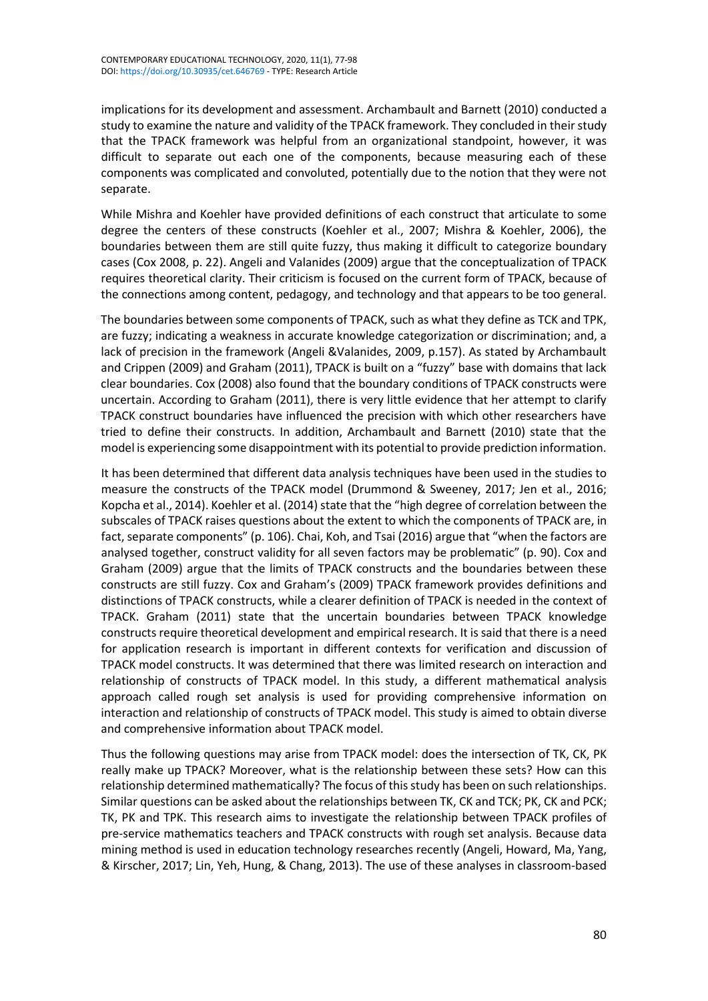implications for its development and assessment. Archambault and Barnett (2010) conducted a study to examine the nature and validity of the TPACK framework. They concluded in their study that the TPACK framework was helpful from an organizational standpoint, however, it was difficult to separate out each one of the components, because measuring each of these components was complicated and convoluted, potentially due to the notion that they were not separate.

While Mishra and Koehler have provided definitions of each construct that articulate to some degree the centers of these constructs (Koehler et al., 2007; Mishra & Koehler, 2006), the boundaries between them are still quite fuzzy, thus making it difficult to categorize boundary cases (Cox 2008, p. 22). Angeli and Valanides (2009) argue that the conceptualization of TPACK requires theoretical clarity. Their criticism is focused on the current form of TPACK, because of the connections among content, pedagogy, and technology and that appears to be too general.

The boundaries between some components of TPACK, such as what they define as TCK and TPK, are fuzzy; indicating a weakness in accurate knowledge categorization or discrimination; and, a lack of precision in the framework (Angeli &Valanides, 2009, p.157). As stated by Archambault and Crippen (2009) and Graham (2011), TPACK is built on a "fuzzy" base with domains that lack clear boundaries. Cox (2008) also found that the boundary conditions of TPACK constructs were uncertain. According to Graham (2011), there is very little evidence that her attempt to clarify TPACK construct boundaries have influenced the precision with which other researchers have tried to define their constructs. In addition, Archambault and Barnett (2010) state that the model is experiencing some disappointment with its potential to provide prediction information.

It has been determined that different data analysis techniques have been used in the studies to measure the constructs of the TPACK model (Drummond & Sweeney, 2017; Jen et al., 2016; Kopcha et al., 2014). Koehler et al. (2014) state that the "high degree of correlation between the subscales of TPACK raises questions about the extent to which the components of TPACK are, in fact, separate components" (p. 106). Chai, Koh, and Tsai (2016) argue that "when the factors are analysed together, construct validity for all seven factors may be problematic" (p. 90). Cox and Graham (2009) argue that the limits of TPACK constructs and the boundaries between these constructs are still fuzzy. Cox and Graham's (2009) TPACK framework provides definitions and distinctions of TPACK constructs, while a clearer definition of TPACK is needed in the context of TPACK. Graham (2011) state that the uncertain boundaries between TPACK knowledge constructs require theoretical development and empirical research. It issaid that there is a need for application research is important in different contexts for verification and discussion of TPACK model constructs. It was determined that there was limited research on interaction and relationship of constructs of TPACK model. In this study, a different mathematical analysis approach called rough set analysis is used for providing comprehensive information on interaction and relationship of constructs of TPACK model. This study is aimed to obtain diverse and comprehensive information about TPACK model.

Thus the following questions may arise from TPACK model: does the intersection of TK, CK, PK really make up TPACK? Moreover, what is the relationship between these sets? How can this relationship determined mathematically? The focus of thisstudy has been on such relationships. Similar questions can be asked about the relationships between TK, CK and TCK; PK, CK and PCK; TK, PK and TPK. This research aims to investigate the relationship between TPACK profiles of pre-service mathematics teachers and TPACK constructs with rough set analysis. Because data mining method is used in education technology researches recently (Angeli, Howard, Ma, Yang, & Kirscher, 2017; Lin, Yeh, Hung, & Chang, 2013). The use of these analyses in classroom-based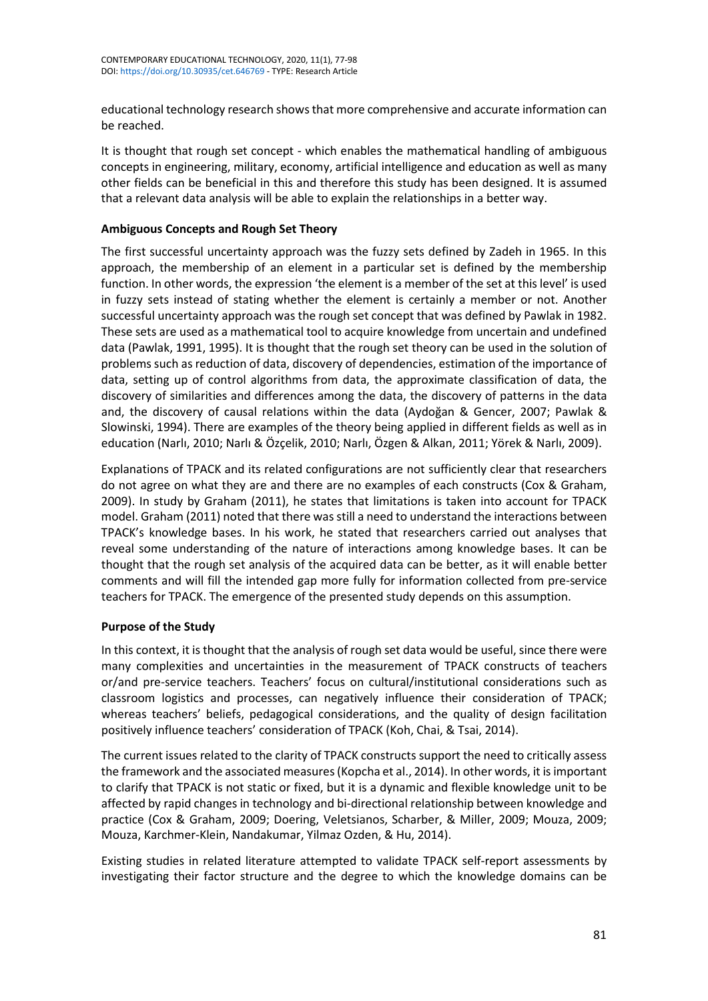educational technology research showsthat more comprehensive and accurate information can be reached.

It is thought that rough set concept - which enables the mathematical handling of ambiguous concepts in engineering, military, economy, artificial intelligence and education as well as many other fields can be beneficial in this and therefore this study has been designed. It is assumed that a relevant data analysis will be able to explain the relationships in a better way.

# **Ambiguous Concepts and Rough Set Theory**

The first successful uncertainty approach was the fuzzy sets defined by Zadeh in 1965. In this approach, the membership of an element in a particular set is defined by the membership function. In other words, the expression 'the element is a member of the set at this level' is used in fuzzy sets instead of stating whether the element is certainly a member or not. Another successful uncertainty approach was the rough set concept that was defined by Pawlak in 1982. These sets are used as a mathematical tool to acquire knowledge from uncertain and undefined data (Pawlak, 1991, 1995). It is thought that the rough set theory can be used in the solution of problems such as reduction of data, discovery of dependencies, estimation of the importance of data, setting up of control algorithms from data, the approximate classification of data, the discovery of similarities and differences among the data, the discovery of patterns in the data and, the discovery of causal relations within the data (Aydoğan & Gencer, 2007; Pawlak & Slowinski, 1994). There are examples of the theory being applied in different fields as well as in education (Narlı, 2010; Narlı & Özçelik, 2010; Narlı, Özgen & Alkan, 2011; Yörek & Narlı, 2009).

Explanations of TPACK and its related configurations are not sufficiently clear that researchers do not agree on what they are and there are no examples of each constructs (Cox & Graham, 2009). In study by Graham (2011), he states that limitations is taken into account for TPACK model. Graham (2011) noted that there was still a need to understand the interactions between TPACK's knowledge bases. In his work, he stated that researchers carried out analyses that reveal some understanding of the nature of interactions among knowledge bases. It can be thought that the rough set analysis of the acquired data can be better, as it will enable better comments and will fill the intended gap more fully for information collected from pre-service teachers for TPACK. The emergence of the presented study depends on this assumption.

# **Purpose of the Study**

In this context, it is thought that the analysis of rough set data would be useful, since there were many complexities and uncertainties in the measurement of TPACK constructs of teachers or/and pre-service teachers. Teachers' focus on cultural/institutional considerations such as classroom logistics and processes, can negatively influence their consideration of TPACK; whereas teachers' beliefs, pedagogical considerations, and the quality of design facilitation positively influence teachers' consideration of TPACK (Koh, Chai, & Tsai, 2014).

The current issues related to the clarity of TPACK constructs support the need to critically assess the framework and the associated measures(Kopcha et al., 2014). In other words, it isimportant to clarify that TPACK is not static or fixed, but it is a dynamic and flexible knowledge unit to be affected by rapid changes in technology and bi-directional relationship between knowledge and practice (Cox & Graham, 2009; Doering, Veletsianos, Scharber, & Miller, 2009; Mouza, 2009; Mouza, Karchmer-Klein, Nandakumar, Yilmaz Ozden, & Hu, 2014).

Existing studies in related literature attempted to validate TPACK self-report assessments by investigating their factor structure and the degree to which the knowledge domains can be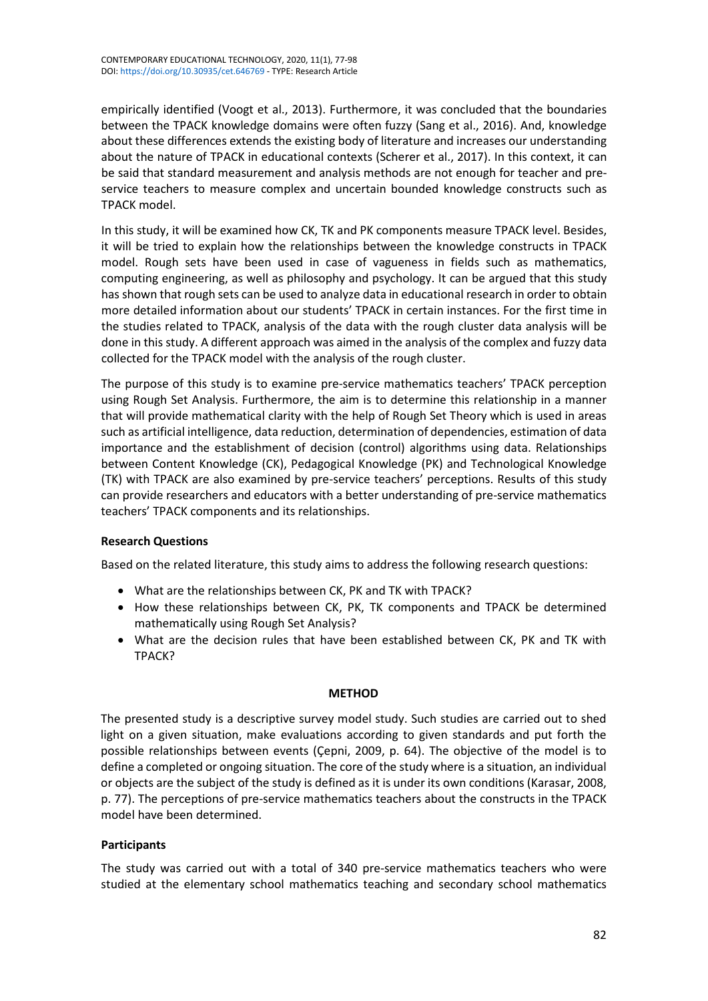empirically identified (Voogt et al., 2013). Furthermore, it was concluded that the boundaries between the TPACK knowledge domains were often fuzzy (Sang et al., 2016). And, knowledge about these differences extends the existing body of literature and increases our understanding about the nature of TPACK in educational contexts (Scherer et al., 2017). In this context, it can be said that standard measurement and analysis methods are not enough for teacher and preservice teachers to measure complex and uncertain bounded knowledge constructs such as TPACK model.

In this study, it will be examined how CK, TK and PK components measure TPACK level. Besides, it will be tried to explain how the relationships between the knowledge constructs in TPACK model. Rough sets have been used in case of vagueness in fields such as mathematics, computing engineering, as well as philosophy and psychology. It can be argued that this study has shown that rough sets can be used to analyze data in educational research in order to obtain more detailed information about our students' TPACK in certain instances. For the first time in the studies related to TPACK, analysis of the data with the rough cluster data analysis will be done in this study. A different approach was aimed in the analysis of the complex and fuzzy data collected for the TPACK model with the analysis of the rough cluster.

The purpose of this study is to examine pre-service mathematics teachers' TPACK perception using Rough Set Analysis. Furthermore, the aim is to determine this relationship in a manner that will provide mathematical clarity with the help of Rough Set Theory which is used in areas such as artificial intelligence, data reduction, determination of dependencies, estimation of data importance and the establishment of decision (control) algorithms using data. Relationships between Content Knowledge (CK), Pedagogical Knowledge (PK) and Technological Knowledge (TK) with TPACK are also examined by pre-service teachers' perceptions. Results of this study can provide researchers and educators with a better understanding of pre-service mathematics teachers' TPACK components and its relationships.

# **Research Questions**

Based on the related literature, this study aims to address the following research questions:

- What are the relationships between CK, PK and TK with TPACK?
- How these relationships between CK, PK, TK components and TPACK be determined mathematically using Rough Set Analysis?
- What are the decision rules that have been established between CK, PK and TK with TPACK?

# **METHOD**

The presented study is a descriptive survey model study. Such studies are carried out to shed light on a given situation, make evaluations according to given standards and put forth the possible relationships between events (Çepni, 2009, p. 64). The objective of the model is to define a completed or ongoing situation. The core of the study where is a situation, an individual or objects are the subject of the study is defined as it is under its own conditions (Karasar, 2008, p. 77). The perceptions of pre-service mathematics teachers about the constructs in the TPACK model have been determined.

# **Participants**

The study was carried out with a total of 340 pre-service mathematics teachers who were studied at the elementary school mathematics teaching and secondary school mathematics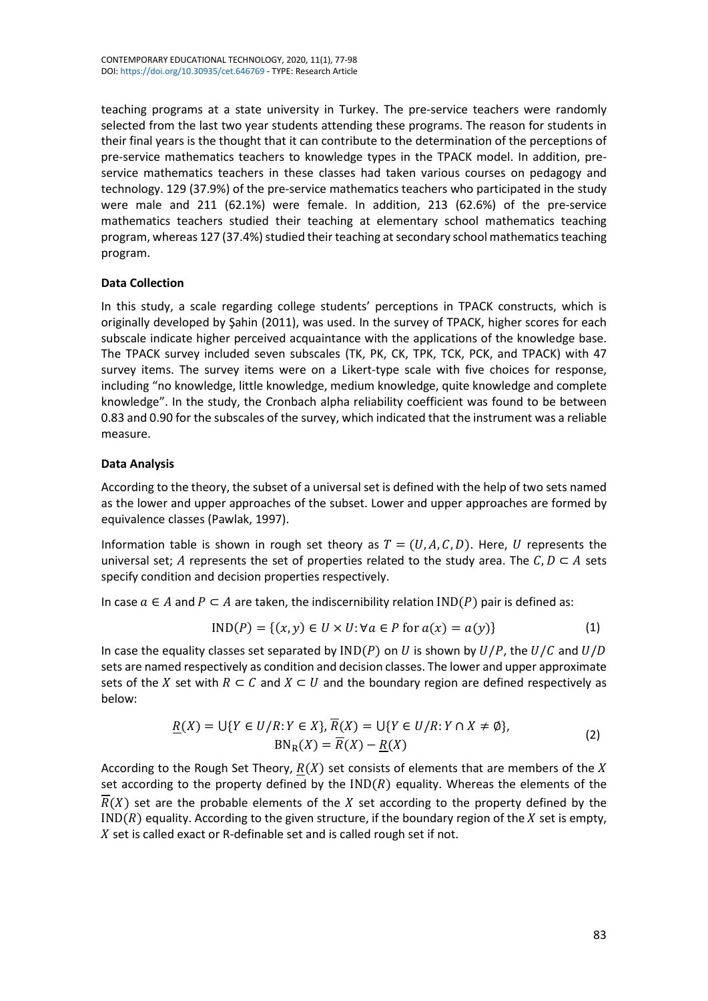teaching programs at a state university in Turkey. The pre-service teachers were randomly selected from the last two year students attending these programs. The reason for students in their final years is the thought that it can contribute to the determination of the perceptions of pre-service mathematics teachers to knowledge types in the TPACK model. In addition, preservice mathematics teachers in these classes had taken various courses on pedagogy and technology. 129 (37.9%) of the pre-service mathematics teachers who participated in the study were male and 211 (62.1%) were female. In addition, 213 (62.6%) of the pre-service mathematics teachers studied their teaching at elementary school mathematics teaching program, whereas 127 (37.4%) studied their teaching at secondary school mathematics teaching program.

# **Data Collection**

In this study, a scale regarding college students' perceptions in TPACK constructs, which is originally developed by Şahin (2011), was used. In the survey of TPACK, higher scores for each subscale indicate higher perceived acquaintance with the applications of the knowledge base. The TPACK survey included seven subscales (TK, PK, CK, TPK, TCK, PCK, and TPACK) with 47 survey items. The survey items were on a Likert-type scale with five choices for response, including "no knowledge, little knowledge, medium knowledge, quite knowledge and complete knowledge". In the study, the Cronbach alpha reliability coefficient was found to be between 0.83 and 0.90 for the subscales of the survey, which indicated that the instrument was a reliable measure.

# **Data Analysis**

According to the theory, the subset of a universal set is defined with the help of two sets named as the lower and upper approaches of the subset. Lower and upper approaches are formed by equivalence classes (Pawlak, 1997).

Information table is shown in rough set theory as  $T = (U, A, C, D)$ . Here, U represents the universal set; A represents the set of properties related to the study area. The  $C, D \subset A$  sets specify condition and decision properties respectively.

In case  $a \in A$  and  $P \subset A$  are taken, the indiscernibility relation IND(P) pair is defined as:

$$
IND(P) = \{(x, y) \in U \times U : \forall a \in P \text{ for } a(x) = a(y)\}\
$$
 (1)

In case the equality classes set separated by  $IND(P)$  on U is shown by  $U/P$ , the  $U/C$  and  $U/D$ sets are named respectively as condition and decision classes. The lower and upper approximate sets of the X set with  $R \subset C$  and  $X \subset U$  and the boundary region are defined respectively as below:

$$
\underline{R}(X) = \bigcup \{ Y \in U/R : Y \in X \}, \overline{R}(X) = \bigcup \{ Y \in U/R : Y \cap X \neq \emptyset \},\
$$
\n
$$
BN_R(X) = \overline{R}(X) - \underline{R}(X)
$$
\n(2)

According to the Rough Set Theory,  $R(X)$  set consists of elements that are members of the X set according to the property defined by the  $IND(R)$  equality. Whereas the elements of the  $\overline{R}(X)$  set are the probable elements of the X set according to the property defined by the  $IND(R)$  equality. According to the given structure, if the boundary region of the  $X$  set is empty,  $X$  set is called exact or R-definable set and is called rough set if not.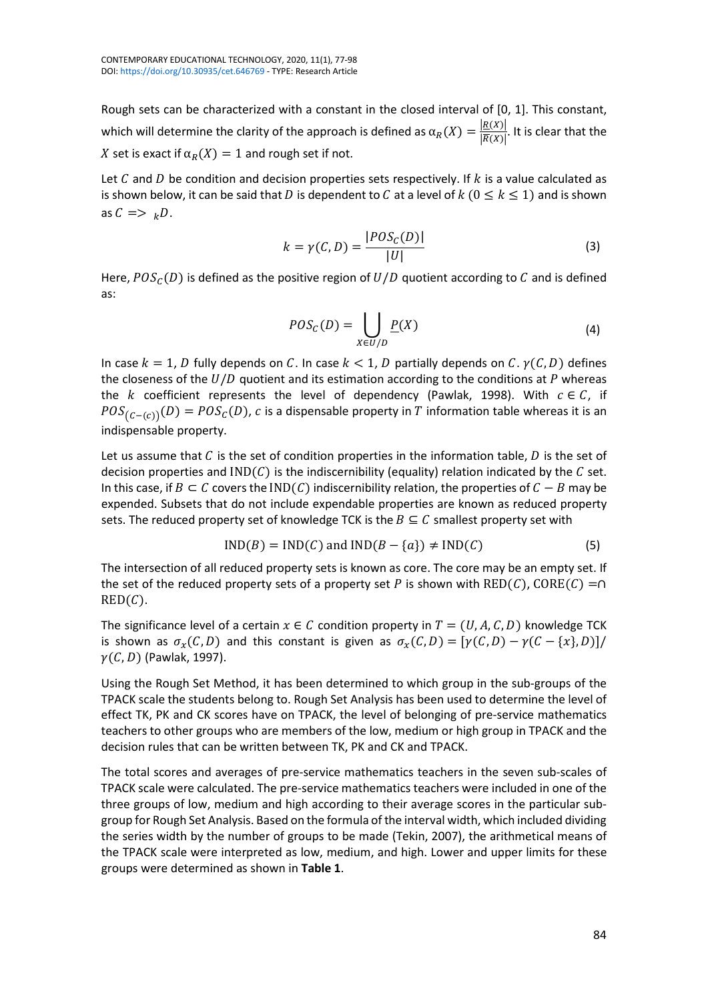Rough sets can be characterized with a constant in the closed interval of [0, 1]. This constant, which will determine the clarity of the approach is defined as  $\alpha_R(X) = \frac{|E(X)|}{|\overline{R}(X)|}$ . It is clear that the X set is exact if  $\alpha_R(X) = 1$  and rough set if not.

Let C and D be condition and decision properties sets respectively. If  $k$  is a value calculated as is shown below, it can be said that D is dependent to C at a level of  $k$  ( $0 \le k \le 1$ ) and is shown as  $C \implies _k D$ .

$$
k = \gamma(C, D) = \frac{|POS_{C}(D)|}{|U|}
$$
\n(3)

Here,  $POS_{C}(D)$  is defined as the positive region of  $U/D$  quotient according to C and is defined as:

$$
POS_{C}(D)=\bigcup_{X\in U/D}\underline{P}(X)
$$
\n(4)

In case  $k = 1$ , D fully depends on C. In case  $k < 1$ , D partially depends on C.  $\gamma(C, D)$  defines the closeness of the  $U/D$  quotient and its estimation according to the conditions at  $P$  whereas the *k* coefficient represents the level of dependency (Pawlak, 1998). With  $c \in C$ , if  $POS_{(C-(c))}(D) = POS_{C}(D)$ , c is a dispensable property in T information table whereas it is an indispensable property.

Let us assume that  $C$  is the set of condition properties in the information table,  $D$  is the set of decision properties and  $IND(C)$  is the indiscernibility (equality) relation indicated by the C set. In this case, if  $B \subset C$  covers the IND(C) indiscernibility relation, the properties of  $C - B$  may be expended. Subsets that do not include expendable properties are known as reduced property sets. The reduced property set of knowledge TCK is the  $B \subseteq C$  smallest property set with

$$
IND(B) = IND(C) \text{ and } IND(B - \{a\}) \neq IND(C) \tag{5}
$$

The intersection of all reduced property sets is known as core. The core may be an empty set. If the set of the reduced property sets of a property set P is shown with  $RED(C)$ , CORE(C) =∩  $RED(C)$ .

The significance level of a certain  $x \in C$  condition property in  $T = (U, A, C, D)$  knowledge TCK is shown as  $\sigma_x(C,D)$  and this constant is given as  $\sigma_x(C,D) = [\gamma(C,D) - \gamma(C - \{x\},D)]/$  $\gamma(C,D)$  (Pawlak, 1997).

Using the Rough Set Method, it has been determined to which group in the sub-groups of the TPACK scale the students belong to. Rough Set Analysis has been used to determine the level of effect TK, PK and CK scores have on TPACK, the level of belonging of pre-service mathematics teachers to other groups who are members of the low, medium or high group in TPACK and the decision rules that can be written between TK, PK and CK and TPACK.

The total scores and averages of pre-service mathematics teachers in the seven sub-scales of TPACK scale were calculated. The pre-service mathematics teachers were included in one of the three groups of low, medium and high according to their average scores in the particular subgroup for Rough Set Analysis. Based on the formula of the interval width, which included dividing the series width by the number of groups to be made (Tekin, 2007), the arithmetical means of the TPACK scale were interpreted as low, medium, and high. Lower and upper limits for these groups were determined as shown in **Table 1**.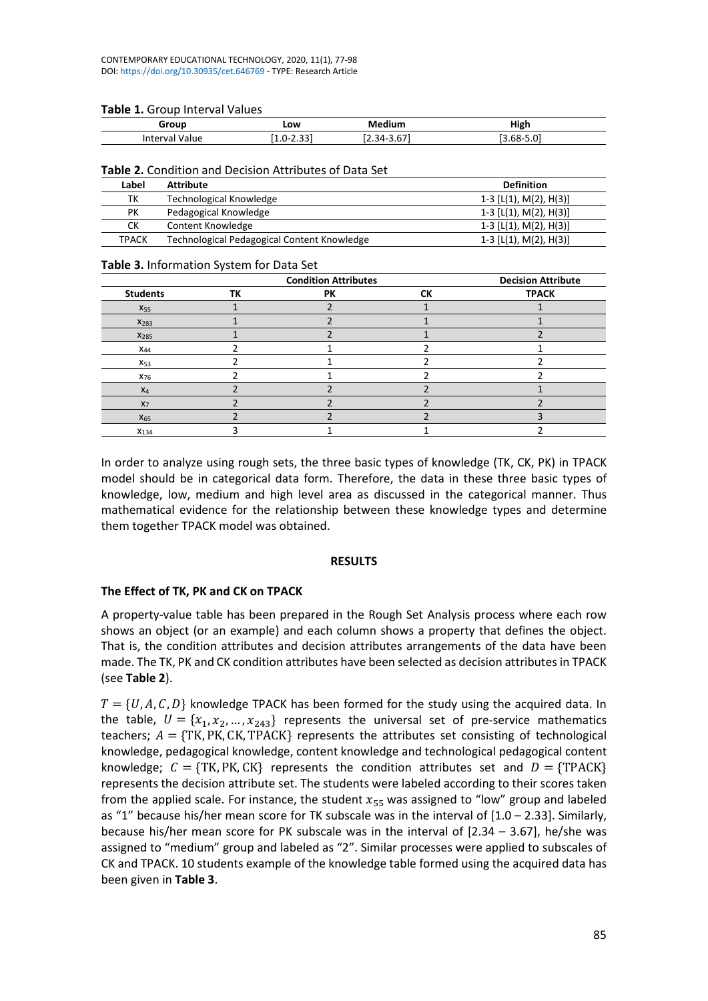#### **Table 1.** Group Interval Values

| Group                | Low                 | Medium                            | High                      |
|----------------------|---------------------|-----------------------------------|---------------------------|
| Value<br>ınter<br>Vd | <br>. ±.U−<br>ر ر.ر | $\sim$ $\sim$<br>-34<br>, ن.<br>. | $\sim$ 0.1<br><b>bx-5</b> |

#### **Table 2.** Condition and Decision Attributes of Data Set

| Label        | Attribute                                   | <b>Definition</b>        |
|--------------|---------------------------------------------|--------------------------|
| тк           | Technological Knowledge                     | 1-3 $[L(1), M(2), H(3)]$ |
| PК           | Pedagogical Knowledge                       | 1-3 $[L(1), M(2), H(3)]$ |
| ск           | Content Knowledge                           | 1-3 $[L(1), M(2), H(3)]$ |
| <b>TPACK</b> | Technological Pedagogical Content Knowledge | 1-3 $[L(1), M(2), H(3)]$ |

#### **Table 3.** Information System for Data Set

|                  |    | <b>Condition Attributes</b> |    | <b>Decision Attribute</b> |
|------------------|----|-----------------------------|----|---------------------------|
| <b>Students</b>  | ΤК | PК                          | СK | <b>TPACK</b>              |
| X <sub>55</sub>  |    |                             |    |                           |
| $X_{283}$        |    |                             |    |                           |
| X <sub>285</sub> |    |                             |    |                           |
| $X_{44}$         |    |                             |    |                           |
| $X_{53}$         |    |                             |    |                           |
| X <sub>76</sub>  |    |                             |    |                           |
| $X_4$            |    |                             |    |                           |
| $X_7$            |    |                             |    |                           |
| $X_{65}$         |    |                             |    |                           |
| $X_{134}$        |    |                             |    |                           |

In order to analyze using rough sets, the three basic types of knowledge (TK, CK, PK) in TPACK model should be in categorical data form. Therefore, the data in these three basic types of knowledge, low, medium and high level area as discussed in the categorical manner. Thus mathematical evidence for the relationship between these knowledge types and determine them together TPACK model was obtained.

# **RESULTS**

# **The Effect of TK, PK and CK on TPACK**

A property-value table has been prepared in the Rough Set Analysis process where each row shows an object (or an example) and each column shows a property that defines the object. That is, the condition attributes and decision attributes arrangements of the data have been made. The TK, PK and CK condition attributes have been selected as decision attributes in TPACK (see **Table 2**).

 $T = \{U, A, C, D\}$  knowledge TPACK has been formed for the study using the acquired data. In the table,  $U = \{x_1, x_2, ..., x_{243}\}$  represents the universal set of pre-service mathematics teachers;  $A = \{TK, PK, CK, TPACK\}$  represents the attributes set consisting of technological knowledge, pedagogical knowledge, content knowledge and technological pedagogical content knowledge;  $C = \{TK, PK, CK\}$  represents the condition attributes set and  $D = \{TPACK\}$ represents the decision attribute set. The students were labeled according to their scores taken from the applied scale. For instance, the student  $x_{55}$  was assigned to "low" group and labeled as "1" because his/her mean score for TK subscale was in the interval of [1.0 – 2.33]. Similarly, because his/her mean score for PK subscale was in the interval of [2.34 – 3.67], he/she was assigned to "medium" group and labeled as "2". Similar processes were applied to subscales of CK and TPACK. 10 students example of the knowledge table formed using the acquired data has been given in **Table 3**.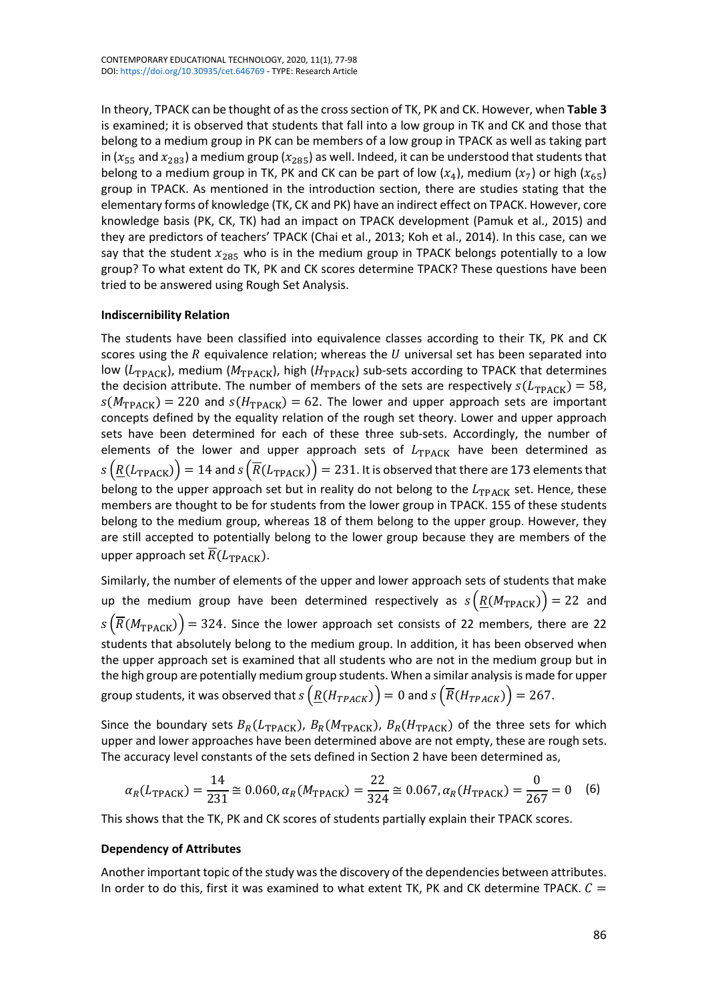In theory, TPACK can be thought of asthe crosssection of TK, PK and CK. However, when **Table 3** is examined; it is observed that students that fall into a low group in TK and CK and those that belong to a medium group in PK can be members of a low group in TPACK as well as taking part in ( $x_{55}$  and  $x_{283}$ ) a medium group ( $x_{285}$ ) as well. Indeed, it can be understood that students that belong to a medium group in TK, PK and CK can be part of low  $(x_4)$ , medium  $(x_7)$  or high  $(x_{65})$ group in TPACK. As mentioned in the introduction section, there are studies stating that the elementary forms of knowledge (TK, CK and PK) have an indirect effect on TPACK. However, core knowledge basis (PK, CK, TK) had an impact on TPACK development (Pamuk et al., 2015) and they are predictors of teachers' TPACK (Chai et al., 2013; Koh et al., 2014). In this case, can we say that the student  $x_{285}$  who is in the medium group in TPACK belongs potentially to a low group? To what extent do TK, PK and CK scores determine TPACK? These questions have been tried to be answered using Rough Set Analysis.

# **Indiscernibility Relation**

The students have been classified into equivalence classes according to their TK, PK and CK scores using the  $R$  equivalence relation; whereas the  $U$  universal set has been separated into low ( $L_{\text{TPACK}}$ ), medium ( $M_{\text{TPACK}}$ ), high ( $H_{\text{TPACK}}$ ) sub-sets according to TPACK that determines the decision attribute. The number of members of the sets are respectively  $s(L_{\text{TPACK}}) = 58$ ,  $s(M_{\text{TPACK}}) = 220$  and  $s(H_{\text{TPACK}}) = 62$ . The lower and upper approach sets are important concepts defined by the equality relation of the rough set theory. Lower and upper approach sets have been determined for each of these three sub-sets. Accordingly, the number of elements of the lower and upper approach sets of  $L_{TPACK}$  have been determined as  $\sigma(s(R(L_{\text{TPACK}})) = 14$  and  $\sigma(\overline{R}(L_{\text{TPACK}})) = 231$ . It is observed that there are 173 elements that belong to the upper approach set but in reality do not belong to the  $L_{\text{TPACK}}$  set. Hence, these members are thought to be for students from the lower group in TPACK. 155 of these students belong to the medium group, whereas 18 of them belong to the upper group. However, they are still accepted to potentially belong to the lower group because they are members of the upper approach set  $\overline{R}(L_{\text{TPACK}})$ .

Similarly, the number of elements of the upper and lower approach sets of students that make up the medium group have been determined respectively as  $s(R(M_{\text{TPACK}})) = 22$  and  $\overline{S}(\overline{R}(M_{\text{TPACK}})) = 324$ . Since the lower approach set consists of 22 members, there are 22 students that absolutely belong to the medium group. In addition, it has been observed when the upper approach set is examined that all students who are not in the medium group but in the high group are potentially medium group students. When a similar analysis is made for upper group students, it was observed that  $s(R(H_{TPACK})) = 0$  and  $s(\overline{R(H_{TPACK})}) = 267$ .

Since the boundary sets  $B_R(L_{\text{TPACK}}), B_R(M_{\text{TPACK}}), B_R(H_{\text{TPACK}})$  of the three sets for which upper and lower approaches have been determined above are not empty, these are rough sets. The accuracy level constants of the sets defined in Section 2 have been determined as,

$$
\alpha_R(L_{\text{TPACK}}) = \frac{14}{231} \approx 0.060, \alpha_R(M_{\text{TPACK}}) = \frac{22}{324} \approx 0.067, \alpha_R(H_{\text{TPACK}}) = \frac{0}{267} = 0 \quad (6)
$$

This shows that the TK, PK and CK scores of students partially explain their TPACK scores.

# **Dependency of Attributes**

Another important topic of the study was the discovery of the dependencies between attributes. In order to do this, first it was examined to what extent TK, PK and CK determine TPACK.  $C =$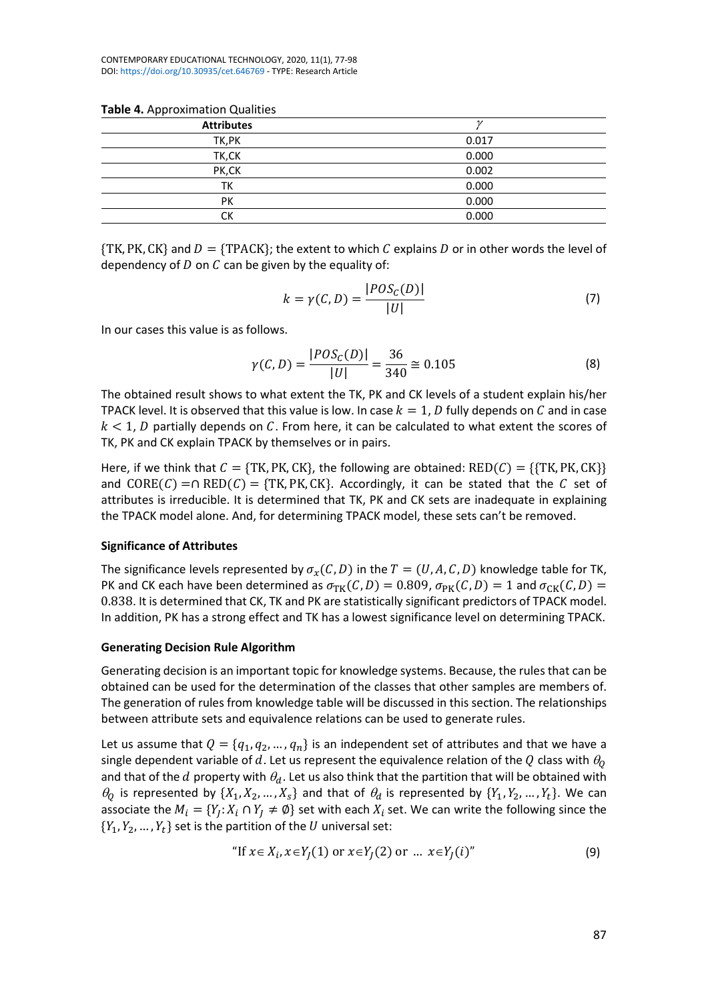CONTEMPORARY EDUCATIONAL TECHNOLOGY, 2020, 11(1), 77-98 DOI: <https://doi.org/10.30935/cet.646769> - TYPE: Research Article

|  | Table 4. Approximation Qualities |  |
|--|----------------------------------|--|
|--|----------------------------------|--|

| . .               |       |
|-------------------|-------|
| <b>Attributes</b> |       |
| TK, PK            | 0.017 |
| TK,CK             | 0.000 |
| PK,CK             | 0.002 |
| ТK                | 0.000 |
| PK                | 0.000 |
| СK                | 0.000 |
|                   |       |

 $\{TK, PK, CK\}$  and  $D = \{TPACK\}$ ; the extent to which C explains D or in other words the level of dependency of  $D$  on  $C$  can be given by the equality of:

$$
k = \gamma(C, D) = \frac{|POS_{C}(D)|}{|U|} \tag{7}
$$

In our cases this value is as follows.

$$
\gamma(C, D) = \frac{|POS_{C}(D)|}{|U|} = \frac{36}{340} \approx 0.105
$$
 (8)

The obtained result shows to what extent the TK, PK and CK levels of a student explain his/her TPACK level. It is observed that this value is low. In case  $k = 1$ , D fully depends on C and in case  $k < 1$ , D partially depends on C. From here, it can be calculated to what extent the scores of TK, PK and CK explain TPACK by themselves or in pairs.

Here, if we think that  $C = \{TK, PK, CK\}$ , the following are obtained:  $RED(C) = \{\{TK, PK, CK\} \}$ and  $CORE(C) = \bigcap RED(C) = \{TK, PK, CK\}.$  Accordingly, it can be stated that the C set of attributes is irreducible. It is determined that TK, PK and CK sets are inadequate in explaining the TPACK model alone. And, for determining TPACK model, these sets can't be removed.

#### **Significance of Attributes**

The significance levels represented by  $\sigma_x(C, D)$  in the  $T = (U, A, C, D)$  knowledge table for TK, PK and CK each have been determined as  $\sigma_{TK}(C,D) = 0.809$ ,  $\sigma_{PK}(C,D) = 1$  and  $\sigma_{CK}(C,D) = 1$ 0.838. It is determined that CK, TK and PK are statistically significant predictors of TPACK model. In addition, PK has a strong effect and TK has a lowest significance level on determining TPACK.

#### **Generating Decision Rule Algorithm**

Generating decision is an important topic for knowledge systems. Because, the rules that can be obtained can be used for the determination of the classes that other samples are members of. The generation of rules from knowledge table will be discussed in this section. The relationships between attribute sets and equivalence relations can be used to generate rules.

Let us assume that  $Q = \{q_1, q_2, ..., q_n\}$  is an independent set of attributes and that we have a single dependent variable of d. Let us represent the equivalence relation of the Q class with  $\theta_0$ and that of the d property with  $\theta_d$ . Let us also think that the partition that will be obtained with  $\theta_0$  is represented by  $\{X_1, X_2, ..., X_s\}$  and that of  $\theta_d$  is represented by  $\{Y_1, Y_2, ..., Y_t\}$ . We can associate the  $M_i = \{Y_i : X_i \cap Y_j \neq \emptyset\}$  set with each  $X_i$  set. We can write the following since the  ${Y_1, Y_2, ..., Y_t}$  set is the partition of the *U* universal set:

"If 
$$
x \in X_i
$$
,  $x \in Y_j(1)$  or  $x \in Y_j(2)$  or ...  $x \in Y_j(i)$ " (9)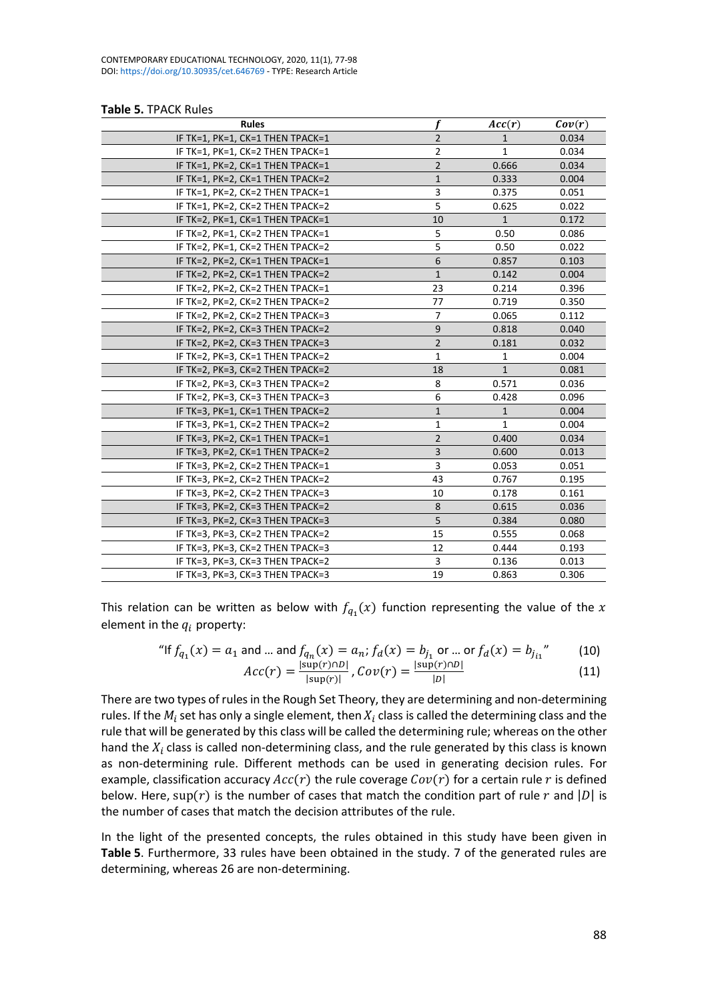| <b>Table 5. TPACK Rules</b> |  |  |
|-----------------------------|--|--|
|-----------------------------|--|--|

| <b>Rules</b>                     | f              | Acc(r)       | Cov(r) |
|----------------------------------|----------------|--------------|--------|
| IF TK=1, PK=1, CK=1 THEN TPACK=1 | $\overline{2}$ | 1            | 0.034  |
| IF TK=1, PK=1, CK=2 THEN TPACK=1 | 2              | $\mathbf{1}$ | 0.034  |
| IF TK=1, PK=2, CK=1 THEN TPACK=1 | $\overline{2}$ | 0.666        | 0.034  |
| IF TK=1, PK=2, CK=1 THEN TPACK=2 | $\mathbf{1}$   | 0.333        | 0.004  |
| IF TK=1, PK=2, CK=2 THEN TPACK=1 | 3              | 0.375        | 0.051  |
| IF TK=1, PK=2, CK=2 THEN TPACK=2 | 5              | 0.625        | 0.022  |
| IF TK=2, PK=1, CK=1 THEN TPACK=1 | 10             | $\mathbf{1}$ | 0.172  |
| IF TK=2, PK=1, CK=2 THEN TPACK=1 | 5              | 0.50         | 0.086  |
| IF TK=2, PK=1, CK=2 THEN TPACK=2 | 5              | 0.50         | 0.022  |
| IF TK=2, PK=2, CK=1 THEN TPACK=1 | 6              | 0.857        | 0.103  |
| IF TK=2, PK=2, CK=1 THEN TPACK=2 | $1\,$          | 0.142        | 0.004  |
| IF TK=2, PK=2, CK=2 THEN TPACK=1 | 23             | 0.214        | 0.396  |
| IF TK=2, PK=2, CK=2 THEN TPACK=2 | 77             | 0.719        | 0.350  |
| IF TK=2, PK=2, CK=2 THEN TPACK=3 | 7              | 0.065        | 0.112  |
| IF TK=2, PK=2, CK=3 THEN TPACK=2 | 9              | 0.818        | 0.040  |
| IF TK=2, PK=2, CK=3 THEN TPACK=3 | $\overline{2}$ | 0.181        | 0.032  |
| IF TK=2, PK=3, CK=1 THEN TPACK=2 | 1              | 1            | 0.004  |
| IF TK=2, PK=3, CK=2 THEN TPACK=2 | 18             | $\mathbf{1}$ | 0.081  |
| IF TK=2, PK=3, CK=3 THEN TPACK=2 | 8              | 0.571        | 0.036  |
| IF TK=2, PK=3, CK=3 THEN TPACK=3 | 6              | 0.428        | 0.096  |
| IF TK=3, PK=1, CK=1 THEN TPACK=2 | $\mathbf{1}$   | $\mathbf{1}$ | 0.004  |
| IF TK=3, PK=1, CK=2 THEN TPACK=2 | $\mathbf{1}$   | 1            | 0.004  |
| IF TK=3, PK=2, CK=1 THEN TPACK=1 | $\overline{2}$ | 0.400        | 0.034  |
| IF TK=3, PK=2, CK=1 THEN TPACK=2 | 3              | 0.600        | 0.013  |
| IF TK=3, PK=2, CK=2 THEN TPACK=1 | 3              | 0.053        | 0.051  |
| IF TK=3, PK=2, CK=2 THEN TPACK=2 | 43             | 0.767        | 0.195  |
| IF TK=3, PK=2, CK=2 THEN TPACK=3 | 10             | 0.178        | 0.161  |
| IF TK=3, PK=2, CK=3 THEN TPACK=2 | 8              | 0.615        | 0.036  |
| IF TK=3, PK=2, CK=3 THEN TPACK=3 | 5              | 0.384        | 0.080  |
| IF TK=3, PK=3, CK=2 THEN TPACK=2 | 15             | 0.555        | 0.068  |
| IF TK=3, PK=3, CK=2 THEN TPACK=3 | 12             | 0.444        | 0.193  |
| IF TK=3, PK=3, CK=3 THEN TPACK=2 | 3              | 0.136        | 0.013  |
| IF TK=3, PK=3, CK=3 THEN TPACK=3 | 19             | 0.863        | 0.306  |

This relation can be written as below with  $f_{q_1}(x)$  function representing the value of the x element in the  $q_i$  property:

"If 
$$
f_{q_1}(x) = a_1
$$
 and ... and  $f_{q_n}(x) = a_n$ ;  $f_d(x) = b_{j_1}$  or ... or  $f_d(x) = b_{j_{i_1}}^n$  (10)

$$
Acc(r) = \frac{|\text{sup}(r) \cap D|}{|\text{sup}(r)|}, Cov(r) = \frac{|\text{sup}(r) \cap D|}{|D|}
$$
(11)

There are two types of rules in the Rough Set Theory, they are determining and non-determining rules. If the  $M_i$  set has only a single element, then  $X_i$  class is called the determining class and the rule that will be generated by this class will be called the determining rule; whereas on the other hand the  $X_i$  class is called non-determining class, and the rule generated by this class is known as non-determining rule. Different methods can be used in generating decision rules. For example, classification accuracy  $Acc(r)$  the rule coverage  $Cov(r)$  for a certain rule r is defined below. Here, sup(r) is the number of cases that match the condition part of rule r and |D| is the number of cases that match the decision attributes of the rule.

In the light of the presented concepts, the rules obtained in this study have been given in **Table 5**. Furthermore, 33 rules have been obtained in the study. 7 of the generated rules are determining, whereas 26 are non-determining.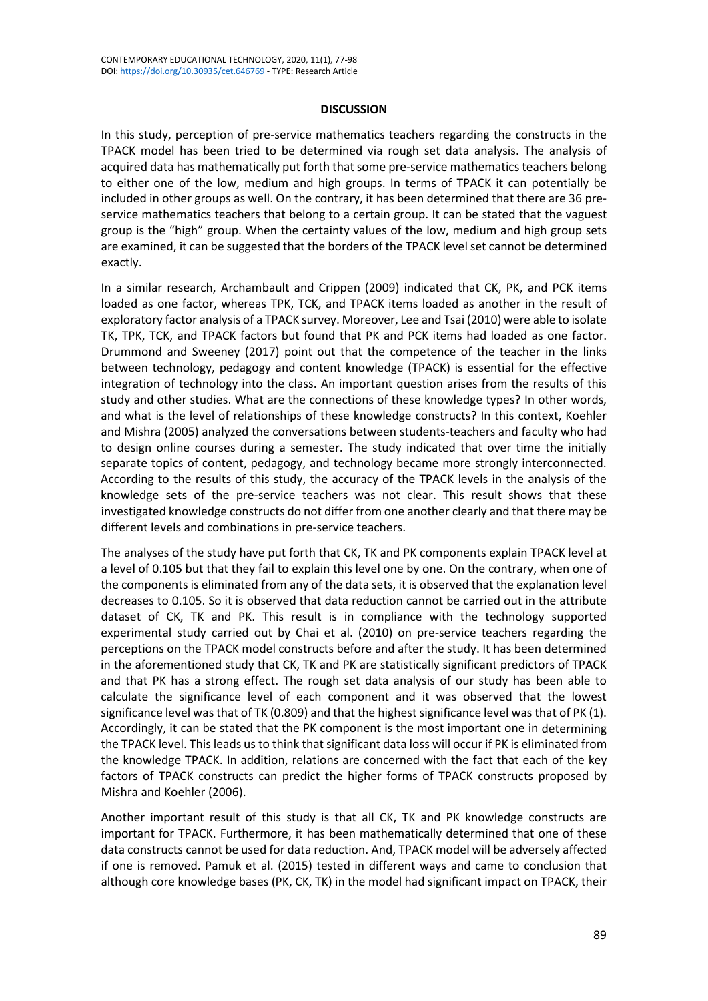#### **DISCUSSION**

In this study, perception of pre-service mathematics teachers regarding the constructs in the TPACK model has been tried to be determined via rough set data analysis. The analysis of acquired data has mathematically put forth that some pre-service mathematics teachers belong to either one of the low, medium and high groups. In terms of TPACK it can potentially be included in other groups as well. On the contrary, it has been determined that there are 36 preservice mathematics teachers that belong to a certain group. It can be stated that the vaguest group is the "high" group. When the certainty values of the low, medium and high group sets are examined, it can be suggested that the borders of the TPACK level set cannot be determined exactly.

In a similar research, Archambault and Crippen (2009) indicated that CK, PK, and PCK items loaded as one factor, whereas TPK, TCK, and TPACK items loaded as another in the result of exploratory factor analysis of a TPACK survey. Moreover, Lee and Tsai (2010) were able to isolate TK, TPK, TCK, and TPACK factors but found that PK and PCK items had loaded as one factor. Drummond and Sweeney (2017) point out that the competence of the teacher in the links between technology, pedagogy and content knowledge (TPACK) is essential for the effective integration of technology into the class. An important question arises from the results of this study and other studies. What are the connections of these knowledge types? In other words, and what is the level of relationships of these knowledge constructs? In this context, Koehler and Mishra (2005) analyzed the conversations between students-teachers and faculty who had to design online courses during a semester. The study indicated that over time the initially separate topics of content, pedagogy, and technology became more strongly interconnected. According to the results of this study, the accuracy of the TPACK levels in the analysis of the knowledge sets of the pre-service teachers was not clear. This result shows that these investigated knowledge constructs do not differ from one another clearly and that there may be different levels and combinations in pre-service teachers.

The analyses of the study have put forth that CK, TK and PK components explain TPACK level at a level of 0.105 but that they fail to explain this level one by one. On the contrary, when one of the components is eliminated from any of the data sets, it is observed that the explanation level decreases to 0.105. So it is observed that data reduction cannot be carried out in the attribute dataset of CK, TK and PK. This result is in compliance with the technology supported experimental study carried out by Chai et al. (2010) on pre-service teachers regarding the perceptions on the TPACK model constructs before and after the study. It has been determined in the aforementioned study that CK, TK and PK are statistically significant predictors of TPACK and that PK has a strong effect. The rough set data analysis of our study has been able to calculate the significance level of each component and it was observed that the lowest significance level was that of TK (0.809) and that the highest significance level was that of PK (1). Accordingly, it can be stated that the PK component is the most important one in determining the TPACK level. This leads us to think that significant data loss will occur if PK is eliminated from the knowledge TPACK. In addition, relations are concerned with the fact that each of the key factors of TPACK constructs can predict the higher forms of TPACK constructs proposed by Mishra and Koehler (2006).

Another important result of this study is that all CK, TK and PK knowledge constructs are important for TPACK. Furthermore, it has been mathematically determined that one of these data constructs cannot be used for data reduction. And, TPACK model will be adversely affected if one is removed. Pamuk et al. (2015) tested in different ways and came to conclusion that although core knowledge bases (PK, CK, TK) in the model had significant impact on TPACK, their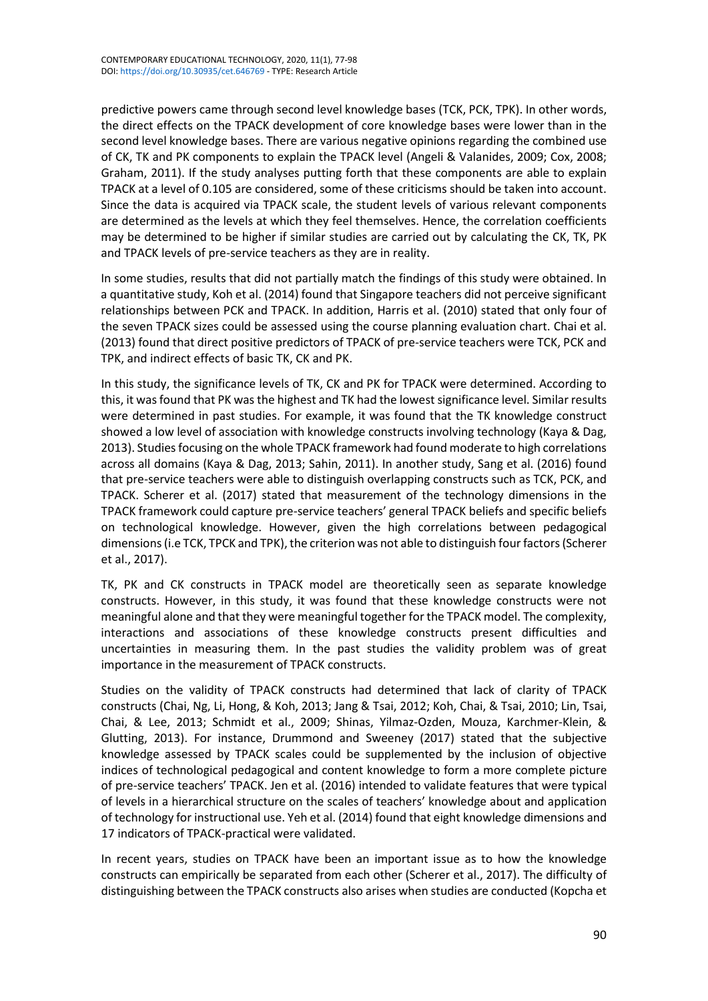predictive powers came through second level knowledge bases (TCK, PCK, TPK). In other words, the direct effects on the TPACK development of core knowledge bases were lower than in the second level knowledge bases. There are various negative opinions regarding the combined use of CK, TK and PK components to explain the TPACK level (Angeli & Valanides, 2009; Cox, 2008; Graham, 2011). If the study analyses putting forth that these components are able to explain TPACK at a level of 0.105 are considered, some of these criticisms should be taken into account. Since the data is acquired via TPACK scale, the student levels of various relevant components are determined as the levels at which they feel themselves. Hence, the correlation coefficients may be determined to be higher if similar studies are carried out by calculating the CK, TK, PK and TPACK levels of pre-service teachers as they are in reality.

In some studies, results that did not partially match the findings of this study were obtained. In a quantitative study, Koh et al. (2014) found that Singapore teachers did not perceive significant relationships between PCK and TPACK. In addition, Harris et al. (2010) stated that only four of the seven TPACK sizes could be assessed using the course planning evaluation chart. Chai et al. (2013) found that direct positive predictors of TPACK of pre-service teachers were TCK, PCK and TPK, and indirect effects of basic TK, CK and PK.

In this study, the significance levels of TK, CK and PK for TPACK were determined. According to this, it wasfound that PK was the highest and TK had the lowest significance level. Similar results were determined in past studies. For example, it was found that the TK knowledge construct showed a low level of association with knowledge constructs involving technology (Kaya & Dag, 2013). Studies focusing on the whole TPACK framework had found moderate to high correlations across all domains (Kaya & Dag, 2013; Sahin, 2011). In another study, Sang et al. (2016) found that pre-service teachers were able to distinguish overlapping constructs such as TCK, PCK, and TPACK. Scherer et al. (2017) stated that measurement of the technology dimensions in the TPACK framework could capture pre-service teachers' general TPACK beliefs and specific beliefs on technological knowledge. However, given the high correlations between pedagogical dimensions (i.e TCK, TPCK and TPK), the criterion was not able to distinguish four factors (Scherer et al., 2017).

TK, PK and CK constructs in TPACK model are theoretically seen as separate knowledge constructs. However, in this study, it was found that these knowledge constructs were not meaningful alone and that they were meaningful together for the TPACK model. The complexity, interactions and associations of these knowledge constructs present difficulties and uncertainties in measuring them. In the past studies the validity problem was of great importance in the measurement of TPACK constructs.

Studies on the validity of TPACK constructs had determined that lack of clarity of TPACK constructs (Chai, Ng, Li, Hong, & Koh, 2013; Jang & Tsai, 2012; Koh, Chai, & Tsai, 2010; Lin, Tsai, Chai, & Lee, 2013; Schmidt et al., 2009; Shinas, Yilmaz-Ozden, Mouza, Karchmer-Klein, & Glutting, 2013). For instance, Drummond and Sweeney (2017) stated that the subjective knowledge assessed by TPACK scales could be supplemented by the inclusion of objective indices of technological pedagogical and content knowledge to form a more complete picture of pre-service teachers' TPACK. Jen et al. (2016) intended to validate features that were typical of levels in a hierarchical structure on the scales of teachers' knowledge about and application of technology for instructional use. Yeh et al. (2014) found that eight knowledge dimensions and 17 indicators of TPACK-practical were validated.

In recent years, studies on TPACK have been an important issue as to how the knowledge constructs can empirically be separated from each other (Scherer et al., 2017). The difficulty of distinguishing between the TPACK constructs also arises when studies are conducted (Kopcha et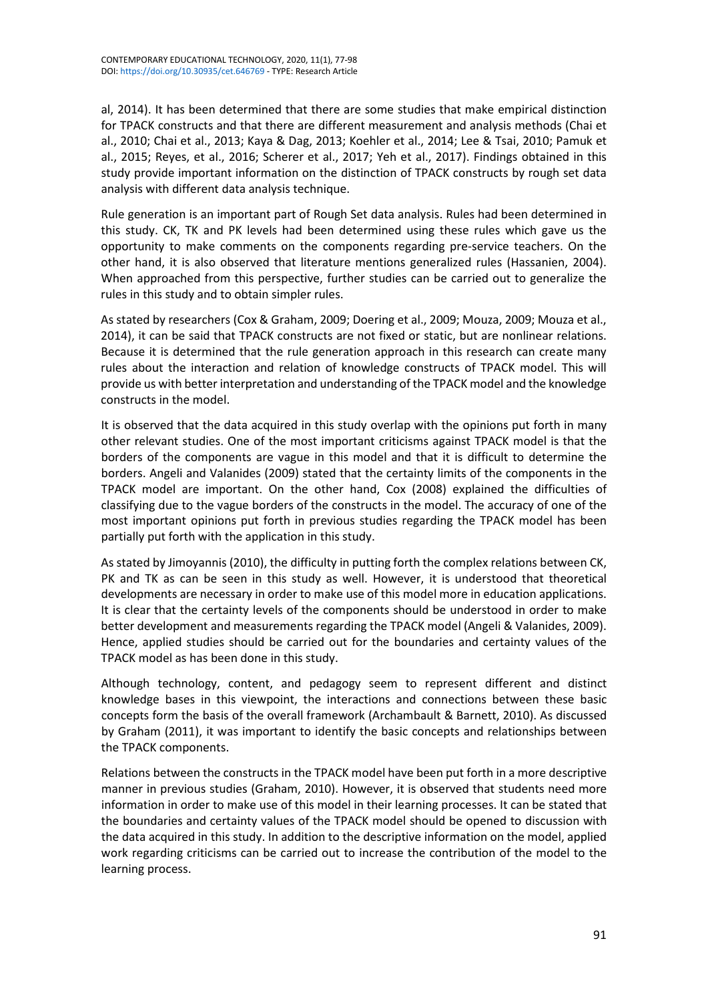al, 2014). It has been determined that there are some studies that make empirical distinction for TPACK constructs and that there are different measurement and analysis methods (Chai et al., 2010; Chai et al., 2013; Kaya & Dag, 2013; Koehler et al., 2014; Lee & Tsai, 2010; Pamuk et al., 2015; Reyes, et al., 2016; Scherer et al., 2017; Yeh et al., 2017). Findings obtained in this study provide important information on the distinction of TPACK constructs by rough set data analysis with different data analysis technique.

Rule generation is an important part of Rough Set data analysis. Rules had been determined in this study. CK, TK and PK levels had been determined using these rules which gave us the opportunity to make comments on the components regarding pre-service teachers. On the other hand, it is also observed that literature mentions generalized rules (Hassanien, 2004). When approached from this perspective, further studies can be carried out to generalize the rules in this study and to obtain simpler rules.

As stated by researchers (Cox & Graham, 2009; Doering et al., 2009; Mouza, 2009; Mouza et al., 2014), it can be said that TPACK constructs are not fixed or static, but are nonlinear relations. Because it is determined that the rule generation approach in this research can create many rules about the interaction and relation of knowledge constructs of TPACK model. This will provide us with better interpretation and understanding of the TPACK model and the knowledge constructs in the model.

It is observed that the data acquired in this study overlap with the opinions put forth in many other relevant studies. One of the most important criticisms against TPACK model is that the borders of the components are vague in this model and that it is difficult to determine the borders. Angeli and Valanides (2009) stated that the certainty limits of the components in the TPACK model are important. On the other hand, Cox (2008) explained the difficulties of classifying due to the vague borders of the constructs in the model. The accuracy of one of the most important opinions put forth in previous studies regarding the TPACK model has been partially put forth with the application in this study.

As stated by Jimoyannis (2010), the difficulty in putting forth the complex relations between CK, PK and TK as can be seen in this study as well. However, it is understood that theoretical developments are necessary in order to make use of this model more in education applications. It is clear that the certainty levels of the components should be understood in order to make better development and measurements regarding the TPACK model (Angeli & Valanides, 2009). Hence, applied studies should be carried out for the boundaries and certainty values of the TPACK model as has been done in this study.

Although technology, content, and pedagogy seem to represent different and distinct knowledge bases in this viewpoint, the interactions and connections between these basic concepts form the basis of the overall framework (Archambault & Barnett, 2010). As discussed by Graham (2011), it was important to identify the basic concepts and relationships between the TPACK components.

Relations between the constructs in the TPACK model have been put forth in a more descriptive manner in previous studies (Graham, 2010). However, it is observed that students need more information in order to make use of this model in their learning processes. It can be stated that the boundaries and certainty values of the TPACK model should be opened to discussion with the data acquired in this study. In addition to the descriptive information on the model, applied work regarding criticisms can be carried out to increase the contribution of the model to the learning process.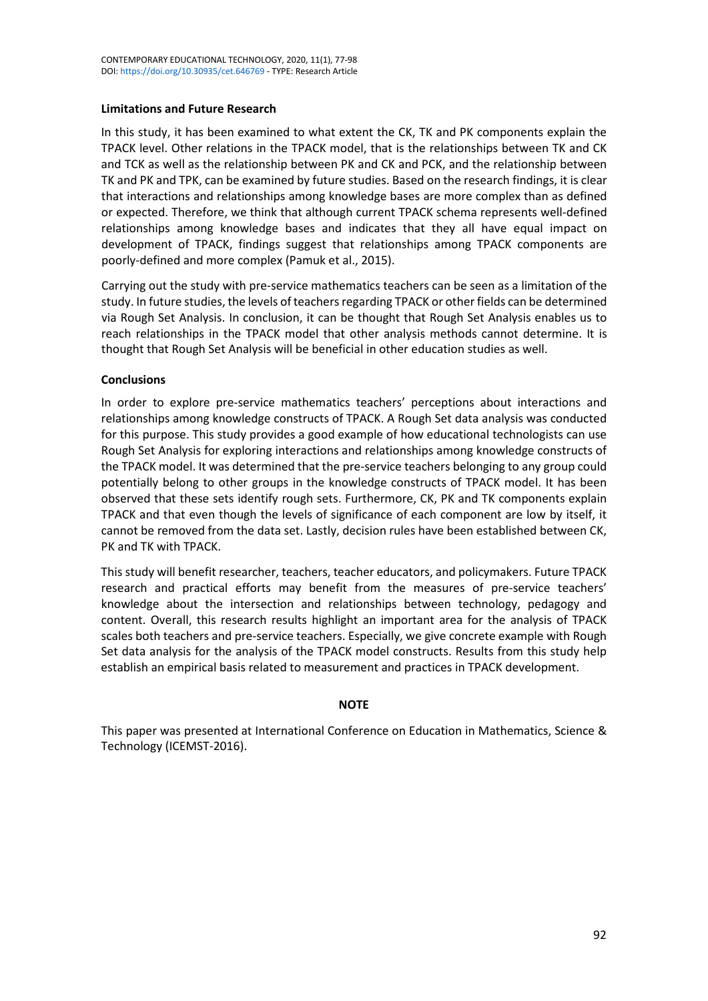# **Limitations and Future Research**

In this study, it has been examined to what extent the CK, TK and PK components explain the TPACK level. Other relations in the TPACK model, that is the relationships between TK and CK and TCK as well as the relationship between PK and CK and PCK, and the relationship between TK and PK and TPK, can be examined by future studies. Based on the research findings, it is clear that interactions and relationships among knowledge bases are more complex than as defined or expected. Therefore, we think that although current TPACK schema represents well-defined relationships among knowledge bases and indicates that they all have equal impact on development of TPACK, findings suggest that relationships among TPACK components are poorly-defined and more complex (Pamuk et al., 2015).

Carrying out the study with pre-service mathematics teachers can be seen as a limitation of the study. In future studies, the levels of teachers regarding TPACK or other fields can be determined via Rough Set Analysis. In conclusion, it can be thought that Rough Set Analysis enables us to reach relationships in the TPACK model that other analysis methods cannot determine. It is thought that Rough Set Analysis will be beneficial in other education studies as well.

# **Conclusions**

In order to explore pre-service mathematics teachers' perceptions about interactions and relationships among knowledge constructs of TPACK. A Rough Set data analysis was conducted for this purpose. This study provides a good example of how educational technologists can use Rough Set Analysis for exploring interactions and relationships among knowledge constructs of the TPACK model. It was determined that the pre-service teachers belonging to any group could potentially belong to other groups in the knowledge constructs of TPACK model. It has been observed that these sets identify rough sets. Furthermore, CK, PK and TK components explain TPACK and that even though the levels of significance of each component are low by itself, it cannot be removed from the data set. Lastly, decision rules have been established between CK, PK and TK with TPACK.

This study will benefit researcher, teachers, teacher educators, and policymakers. Future TPACK research and practical efforts may benefit from the measures of pre-service teachers' knowledge about the intersection and relationships between technology, pedagogy and content. Overall, this research results highlight an important area for the analysis of TPACK scales both teachers and pre-service teachers. Especially, we give concrete example with Rough Set data analysis for the analysis of the TPACK model constructs. Results from this study help establish an empirical basis related to measurement and practices in TPACK development.

# **NOTE**

This paper was presented at International Conference on Education in Mathematics, Science & Technology (ICEMST-2016).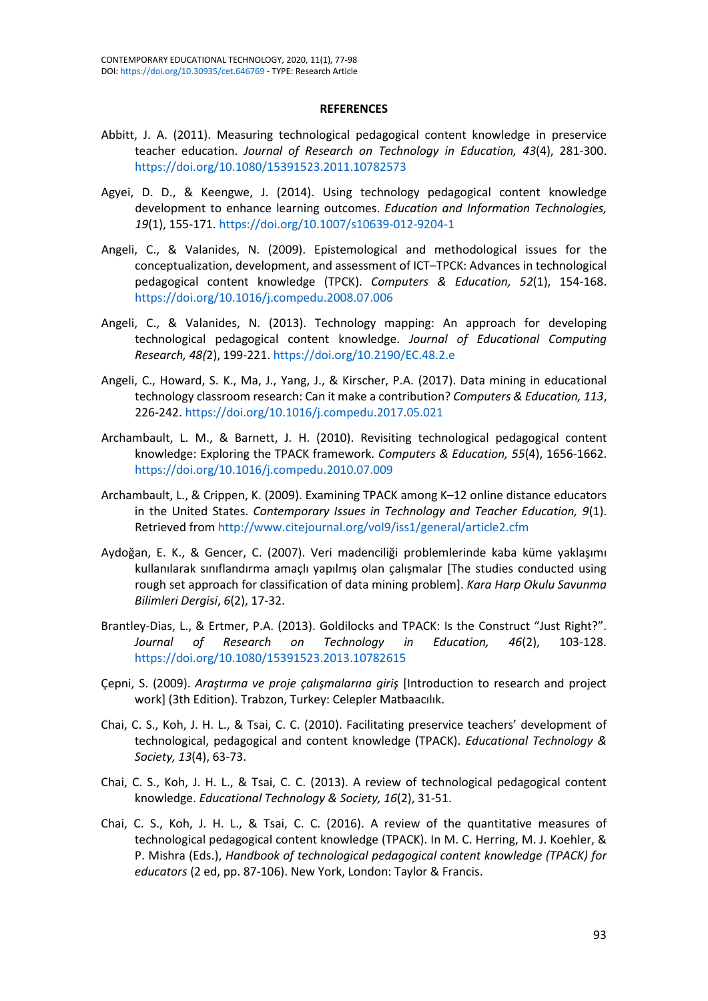#### **REFERENCES**

- Abbitt, J. A. (2011). Measuring technological pedagogical content knowledge in preservice teacher education. *Journal of Research on Technology in Education, 43*(4), 281-300. <https://doi.org/10.1080/15391523.2011.10782573>
- Agyei, D. D., & Keengwe, J. (2014). Using technology pedagogical content knowledge development to enhance learning outcomes. *Education and Information Technologies, 19*(1), 155-171. <https://doi.org/10.1007/s10639-012-9204-1>
- Angeli, C., & Valanides, N. (2009). Epistemological and methodological issues for the conceptualization, development, and assessment of ICT–TPCK: Advances in technological pedagogical content knowledge (TPCK). *Computers & Education, 52*(1), 154-168. <https://doi.org/10.1016/j.compedu.2008.07.006>
- Angeli, C., & Valanides, N. (2013). Technology mapping: An approach for developing technological pedagogical content knowledge. *Journal of Educational Computing Research, 48(*2), 199-221. <https://doi.org/10.2190/EC.48.2.e>
- Angeli, C., Howard, S. K., Ma, J., Yang, J., & Kirscher, P.A. (2017). Data mining in educational technology classroom research: Can it make a contribution? *Computers & Education, 113*, 226-242. <https://doi.org/10.1016/j.compedu.2017.05.021>
- Archambault, L. M., & Barnett, J. H. (2010). Revisiting technological pedagogical content knowledge: Exploring the TPACK framework. *Computers & Education, 55*(4), 1656-1662. <https://doi.org/10.1016/j.compedu.2010.07.009>
- Archambault, L., & Crippen, K. (2009). Examining TPACK among K–12 online distance educators in the United States. *Contemporary Issues in Technology and Teacher Education, 9*(1). Retrieved from <http://www.citejournal.org/vol9/iss1/general/article2.cfm>
- Aydoğan, E. K., & Gencer, C. (2007). Veri madenciliği problemlerinde kaba küme yaklaşımı kullanılarak sınıflandırma amaçlı yapılmış olan çalışmalar [The studies conducted using rough set approach for classification of data mining problem]. *Kara Harp Okulu Savunma Bilimleri Dergisi*, *6*(2), 17-32.
- Brantley-Dias, L., & Ertmer, P.A. (2013). Goldilocks and TPACK: Is the Construct "Just Right?". *Journal of Research on Technology in Education, 46*(2), 103-128. <https://doi.org/10.1080/15391523.2013.10782615>
- Çepni, S. (2009). *Araştırma ve proje çalışmalarına giriş* [Introduction to research and project work] (3th Edition). Trabzon, Turkey: Celepler Matbaacılık.
- Chai, C. S., Koh, J. H. L., & Tsai, C. C. (2010). Facilitating preservice teachers' development of technological, pedagogical and content knowledge (TPACK). *Educational Technology & Society, 13*(4), 63-73.
- Chai, C. S., Koh, J. H. L., & Tsai, C. C. (2013). A review of technological pedagogical content knowledge. *Educational Technology & Society, 16*(2), 31-51.
- Chai, C. S., Koh, J. H. L., & Tsai, C. C. (2016). A review of the quantitative measures of technological pedagogical content knowledge (TPACK). In M. C. Herring, M. J. Koehler, & P. Mishra (Eds.), *Handbook of technological pedagogical content knowledge (TPACK) for educators* (2 ed, pp. 87-106). New York, London: Taylor & Francis.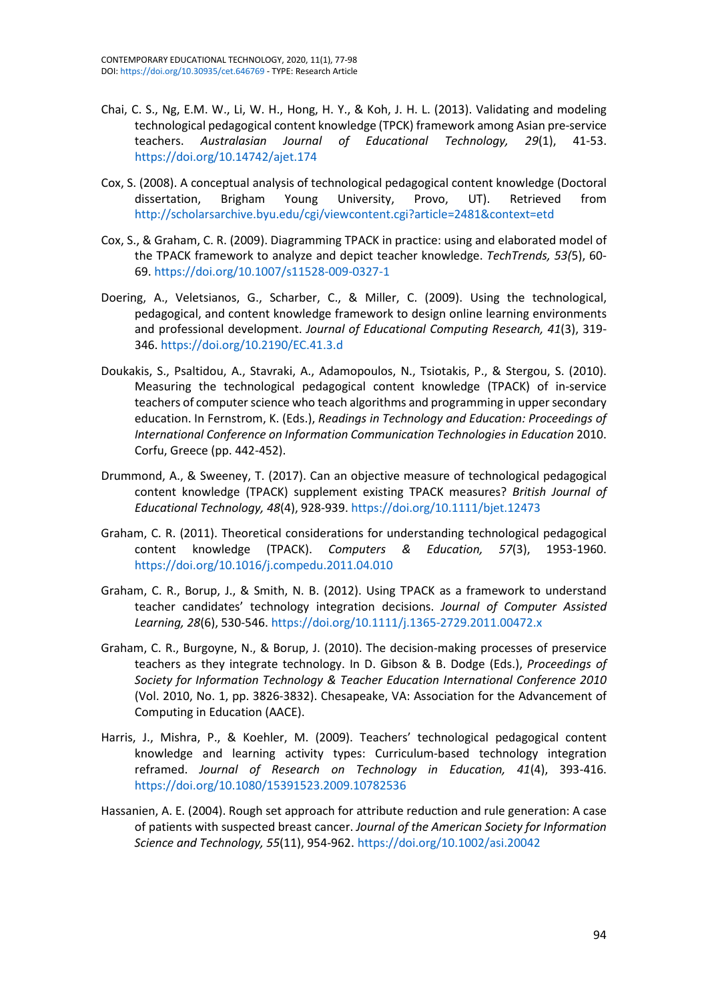- Chai, C. S., Ng, E.M. W., Li, W. H., Hong, H. Y., & Koh, J. H. L. (2013). Validating and modeling technological pedagogical content knowledge (TPCK) framework among Asian pre-service teachers. *Australasian Journal of Educational Technology, 29*(1), 41-53. <https://doi.org/10.14742/ajet.174>
- Cox, S. (2008). A conceptual analysis of technological pedagogical content knowledge (Doctoral dissertation, Brigham Young University, Provo, UT). Retrieved from <http://scholarsarchive.byu.edu/cgi/viewcontent.cgi?article=2481&context=etd>
- Cox, S., & Graham, C. R. (2009). Diagramming TPACK in practice: using and elaborated model of the TPACK framework to analyze and depict teacher knowledge. *TechTrends, 53(*5), 60- 69. <https://doi.org/10.1007/s11528-009-0327-1>
- Doering, A., Veletsianos, G., Scharber, C., & Miller, C. (2009). Using the technological, pedagogical, and content knowledge framework to design online learning environments and professional development. *Journal of Educational Computing Research, 41*(3), 319- 346. <https://doi.org/10.2190/EC.41.3.d>
- Doukakis, S., Psaltidou, A., Stavraki, A., Adamopoulos, N., Tsiotakis, P., & Stergou, S. (2010). Measuring the technological pedagogical content knowledge (TPACK) of in-service teachers of computer science who teach algorithms and programming in upper secondary education. In Fernstrom, K. (Eds.), *Readings in Technology and Education: Proceedings of International Conference on Information Communication Technologies in Education* 2010. Corfu, Greece (pp. 442-452).
- Drummond, A., & Sweeney, T. (2017). Can an objective measure of technological pedagogical content knowledge (TPACK) supplement existing TPACK measures? *British Journal of Educational Technology, 48*(4), 928-939. <https://doi.org/10.1111/bjet.12473>
- Graham, C. R. (2011). Theoretical considerations for understanding technological pedagogical content knowledge (TPACK). *Computers & Education, 57*(3), 1953-1960. <https://doi.org/10.1016/j.compedu.2011.04.010>
- Graham, C. R., Borup, J., & Smith, N. B. (2012). Using TPACK as a framework to understand teacher candidates' technology integration decisions. *Journal of Computer Assisted Learning, 28*(6), 530-546. <https://doi.org/10.1111/j.1365-2729.2011.00472.x>
- Graham, C. R., Burgoyne, N., & Borup, J. (2010). The decision-making processes of preservice teachers as they integrate technology. In D. Gibson & B. Dodge (Eds.), *Proceedings of Society for Information Technology & Teacher Education International Conference 2010* (Vol. 2010, No. 1, pp. 3826-3832). Chesapeake, VA: Association for the Advancement of Computing in Education (AACE).
- Harris, J., Mishra, P., & Koehler, M. (2009). Teachers' technological pedagogical content knowledge and learning activity types: Curriculum-based technology integration reframed. *Journal of Research on Technology in Education, 41*(4), 393-416. <https://doi.org/10.1080/15391523.2009.10782536>
- Hassanien, A. E. (2004). Rough set approach for attribute reduction and rule generation: A case of patients with suspected breast cancer. *Journal of the American Society for Information Science and Technology, 55*(11), 954-962. <https://doi.org/10.1002/asi.20042>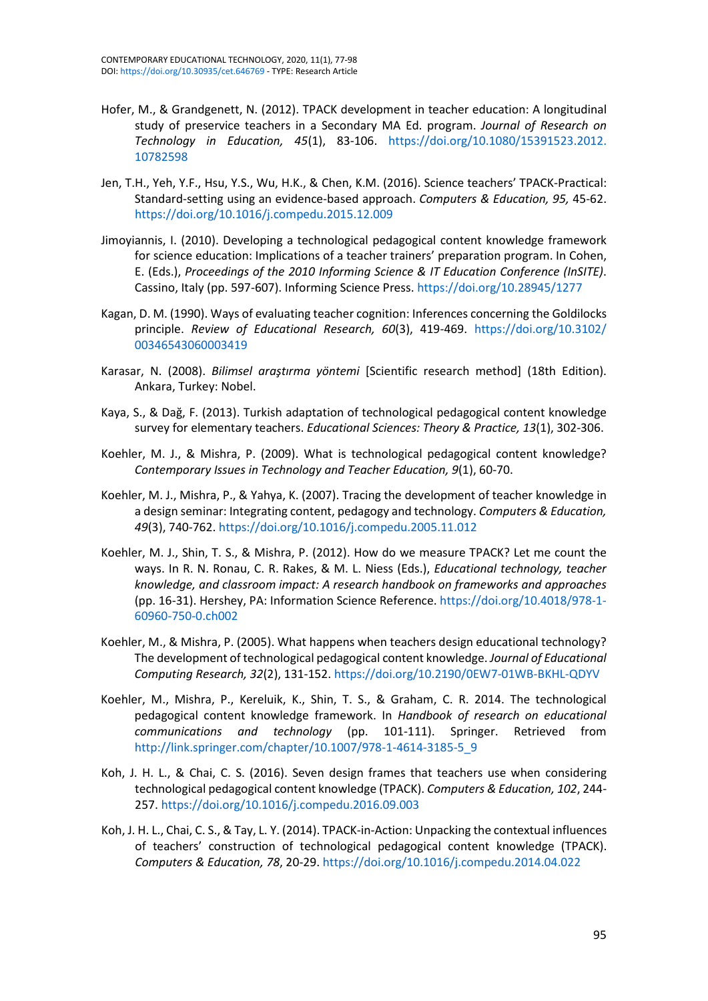- Hofer, M., & Grandgenett, N. (2012). TPACK development in teacher education: A longitudinal study of preservice teachers in a Secondary MA Ed. program. *Journal of Research on Technology in Education, 45*(1), 83-106. [https://doi.org/10.1080/15391523.2012.](https://doi.org/10.1080/15391523.2012.10782598) [10782598](https://doi.org/10.1080/15391523.2012.10782598)
- Jen, T.H., Yeh, Y.F., Hsu, Y.S., Wu, H.K., & Chen, K.M. (2016). Science teachers' TPACK-Practical: Standard-setting using an evidence-based approach. *Computers & Education, 95,* 45-62. <https://doi.org/10.1016/j.compedu.2015.12.009>
- Jimoyiannis, I. (2010). Developing a technological pedagogical content knowledge framework for science education: Implications of a teacher trainers' preparation program. In Cohen, E. (Eds.), *Proceedings of the 2010 Informing Science & IT Education Conference (InSITE)*. Cassino, Italy (pp. 597-607). Informing Science Press. <https://doi.org/10.28945/1277>
- Kagan, D. M. (1990). Ways of evaluating teacher cognition: Inferences concerning the Goldilocks principle. *Review of Educational Research, 60*(3), 419-469. [https://doi.org/10.3102/](https://doi.org/10.3102/00346543060003419) [00346543060003419](https://doi.org/10.3102/00346543060003419)
- Karasar, N. (2008). *Bilimsel araştırma yöntemi* [Scientific research method] (18th Edition). Ankara, Turkey: Nobel.
- Kaya, S., & Dağ, F. (2013). Turkish adaptation of technological pedagogical content knowledge survey for elementary teachers. *Educational Sciences: Theory & Practice, 13*(1), 302-306.
- Koehler, M. J., & Mishra, P. (2009). What is technological pedagogical content knowledge? *Contemporary Issues in Technology and Teacher Education, 9*(1), 60-70.
- Koehler, M. J., Mishra, P., & Yahya, K. (2007). Tracing the development of teacher knowledge in a design seminar: Integrating content, pedagogy and technology. *Computers & Education, 49*(3), 740-762. <https://doi.org/10.1016/j.compedu.2005.11.012>
- Koehler, M. J., Shin, T. S., & Mishra, P. (2012). How do we measure TPACK? Let me count the ways. In R. N. Ronau, C. R. Rakes, & M. L. Niess (Eds.), *Educational technology, teacher knowledge, and classroom impact: A research handbook on frameworks and approaches* (pp. 16-31). Hershey, PA: Information Science Reference. [https://doi.org/10.4018/978-1-](https://doi.org/10.4018/978-1-60960-750-0.ch002) [60960-750-0.ch002](https://doi.org/10.4018/978-1-60960-750-0.ch002)
- Koehler, M., & Mishra, P. (2005). What happens when teachers design educational technology? The development of technological pedagogical content knowledge. *Journal of Educational Computing Research, 32*(2), 131-152. <https://doi.org/10.2190/0EW7-01WB-BKHL-QDYV>
- Koehler, M., Mishra, P., Kereluik, K., Shin, T. S., & Graham, C. R. 2014. The technological pedagogical content knowledge framework. In *Handbook of research on educational communications and technology* (pp. 101-111). Springer. Retrieved from [http://link.springer.com/chapter/10.1007/978-1-4614-3185-5\\_9](http://link.springer.com/chapter/10.1007/978-1-4614-3185-5_9)
- Koh, J. H. L., & Chai, C. S. (2016). Seven design frames that teachers use when considering technological pedagogical content knowledge (TPACK). *Computers & Education, 102*, 244- 257. <https://doi.org/10.1016/j.compedu.2016.09.003>
- Koh, J. H. L., Chai, C. S., & Tay, L. Y. (2014). TPACK-in-Action: Unpacking the contextual influences of teachers' construction of technological pedagogical content knowledge (TPACK). *Computers & Education, 78*, 20-29. <https://doi.org/10.1016/j.compedu.2014.04.022>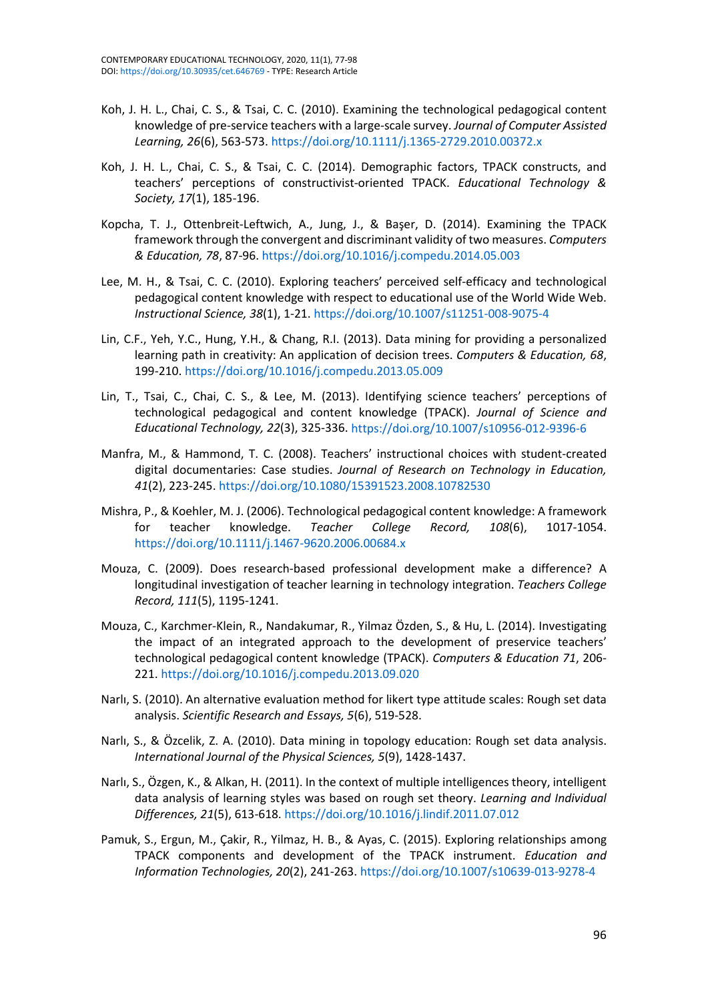- Koh, J. H. L., Chai, C. S., & Tsai, C. C. (2010). Examining the technological pedagogical content knowledge of pre-service teachers with a large-scale survey. *Journal of Computer Assisted Learning, 26*(6), 563-573. <https://doi.org/10.1111/j.1365-2729.2010.00372.x>
- Koh, J. H. L., Chai, C. S., & Tsai, C. C. (2014). Demographic factors, TPACK constructs, and teachers' perceptions of constructivist-oriented TPACK. *Educational Technology & Society, 17*(1), 185-196.
- Kopcha, T. J., Ottenbreit-Leftwich, A., Jung, J., & Başer, D. (2014). Examining the TPACK framework through the convergent and discriminant validity of two measures. *Computers & Education, 78*, 87-96. <https://doi.org/10.1016/j.compedu.2014.05.003>
- Lee, M. H., & Tsai, C. C. (2010). Exploring teachers' perceived self-efficacy and technological pedagogical content knowledge with respect to educational use of the World Wide Web. *Instructional Science, 38*(1), 1-21. <https://doi.org/10.1007/s11251-008-9075-4>
- Lin, C.F., Yeh, Y.C., Hung, Y.H., & Chang, R.I. (2013). Data mining for providing a personalized learning path in creativity: An application of decision trees. *Computers & Education, 68*, 199-210. <https://doi.org/10.1016/j.compedu.2013.05.009>
- Lin, T., Tsai, C., Chai, C. S., & Lee, M. (2013). Identifying science teachers' perceptions of technological pedagogical and content knowledge (TPACK). *Journal of Science and Educational Technology, 22*(3), 325-336. <https://doi.org/10.1007/s10956-012-9396-6>
- Manfra, M., & Hammond, T. C. (2008). Teachers' instructional choices with student-created digital documentaries: Case studies. *Journal of Research on Technology in Education, 41*(2), 223-245. <https://doi.org/10.1080/15391523.2008.10782530>
- Mishra, P., & Koehler, M. J. (2006). Technological pedagogical content knowledge: A framework for teacher knowledge. *Teacher College Record, 108*(6), 1017-1054. <https://doi.org/10.1111/j.1467-9620.2006.00684.x>
- Mouza, C. (2009). Does research-based professional development make a difference? A longitudinal investigation of teacher learning in technology integration. *Teachers College Record, 111*(5), 1195-1241.
- Mouza, C., Karchmer-Klein, R., Nandakumar, R., Yilmaz Özden, S., & Hu, L. (2014). Investigating the impact of an integrated approach to the development of preservice teachers' technological pedagogical content knowledge (TPACK). *Computers & Education 71*, 206- 221. <https://doi.org/10.1016/j.compedu.2013.09.020>
- Narlı, S. (2010). An alternative evaluation method for likert type attitude scales: Rough set data analysis. *Scientific Research and Essays, 5*(6), 519-528.
- Narlı, S., & Özcelik, Z. A. (2010). Data mining in topology education: Rough set data analysis. *International Journal of the Physical Sciences, 5*(9), 1428-1437.
- Narlı, S., Özgen, K., & Alkan, H. (2011). In the context of multiple intelligences theory, intelligent data analysis of learning styles was based on rough set theory. *Learning and Individual Differences, 21*(5), 613-618.<https://doi.org/10.1016/j.lindif.2011.07.012>
- Pamuk, S., Ergun, M., Çakir, R., Yilmaz, H. B., & Ayas, C. (2015). Exploring relationships among TPACK components and development of the TPACK instrument. *Education and Information Technologies, 20*(2), 241-263. <https://doi.org/10.1007/s10639-013-9278-4>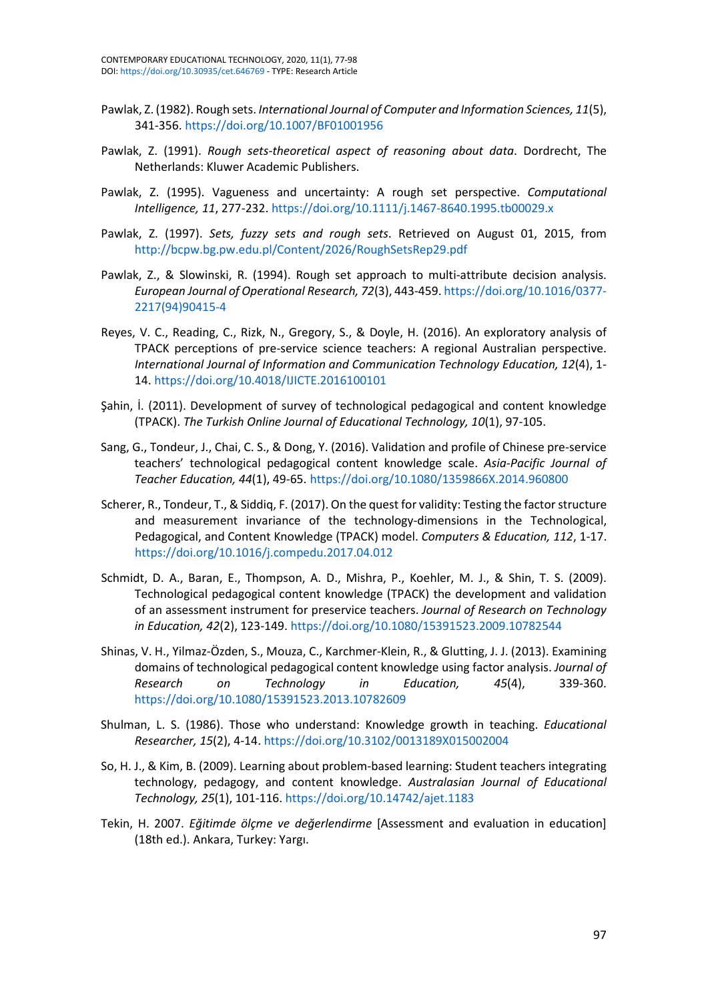- Pawlak, Z. (1982). Rough sets. *International Journal of Computer and Information Sciences, 11*(5), 341-356. <https://doi.org/10.1007/BF01001956>
- Pawlak, Z. (1991). *Rough sets-theoretical aspect of reasoning about data*. Dordrecht, The Netherlands: Kluwer Academic Publishers.
- Pawlak, Z. (1995). Vagueness and uncertainty: A rough set perspective. *Computational Intelligence, 11*, 277-232. <https://doi.org/10.1111/j.1467-8640.1995.tb00029.x>
- Pawlak, Z. (1997). *Sets, fuzzy sets and rough sets*. Retrieved on August 01, 2015, from <http://bcpw.bg.pw.edu.pl/Content/2026/RoughSetsRep29.pdf>
- Pawlak, Z., & Slowinski, R. (1994). Rough set approach to multi-attribute decision analysis. *European Journal of Operational Research, 72*(3), 443-459. [https://doi.org/10.1016/0377-](https://doi.org/10.1016/0377-2217(94)90415-4) [2217\(94\)90415-4](https://doi.org/10.1016/0377-2217(94)90415-4)
- Reyes, V. C., Reading, C., Rizk, N., Gregory, S., & Doyle, H. (2016). An exploratory analysis of TPACK perceptions of pre-service science teachers: A regional Australian perspective. *International Journal of Information and Communication Technology Education, 12*(4), 1- 14. <https://doi.org/10.4018/IJICTE.2016100101>
- Şahin, İ. (2011). Development of survey of technological pedagogical and content knowledge (TPACK). *The Turkish Online Journal of Educational Technology, 10*(1), 97-105.
- Sang, G., Tondeur, J., Chai, C. S., & Dong, Y. (2016). Validation and profile of Chinese pre-service teachers' technological pedagogical content knowledge scale. *Asia-Pacific Journal of Teacher Education, 44*(1), 49-65. <https://doi.org/10.1080/1359866X.2014.960800>
- Scherer, R., Tondeur, T., & Siddiq, F. (2017). On the quest for validity: Testing the factor structure and measurement invariance of the technology-dimensions in the Technological, Pedagogical, and Content Knowledge (TPACK) model. *Computers & Education, 112*, 1-17. <https://doi.org/10.1016/j.compedu.2017.04.012>
- Schmidt, D. A., Baran, E., Thompson, A. D., Mishra, P., Koehler, M. J., & Shin, T. S. (2009). Technological pedagogical content knowledge (TPACK) the development and validation of an assessment instrument for preservice teachers. *Journal of Research on Technology in Education, 42*(2), 123-149. <https://doi.org/10.1080/15391523.2009.10782544>
- Shinas, V. H., Yilmaz-Özden, S., Mouza, C., Karchmer-Klein, R., & Glutting, J. J. (2013). Examining domains of technological pedagogical content knowledge using factor analysis. *Journal of Research on Technology in Education, 45*(4), 339-360. <https://doi.org/10.1080/15391523.2013.10782609>
- Shulman, L. S. (1986). Those who understand: Knowledge growth in teaching. *Educational Researcher, 15*(2), 4-14. <https://doi.org/10.3102/0013189X015002004>
- So, H. J., & Kim, B. (2009). Learning about problem-based learning: Student teachers integrating technology, pedagogy, and content knowledge. *Australasian Journal of Educational Technology, 25*(1), 101-116. <https://doi.org/10.14742/ajet.1183>
- Tekin, H. 2007. *Eğitimde ölçme ve değerlendirme* [Assessment and evaluation in education] (18th ed.). Ankara, Turkey: Yargı.